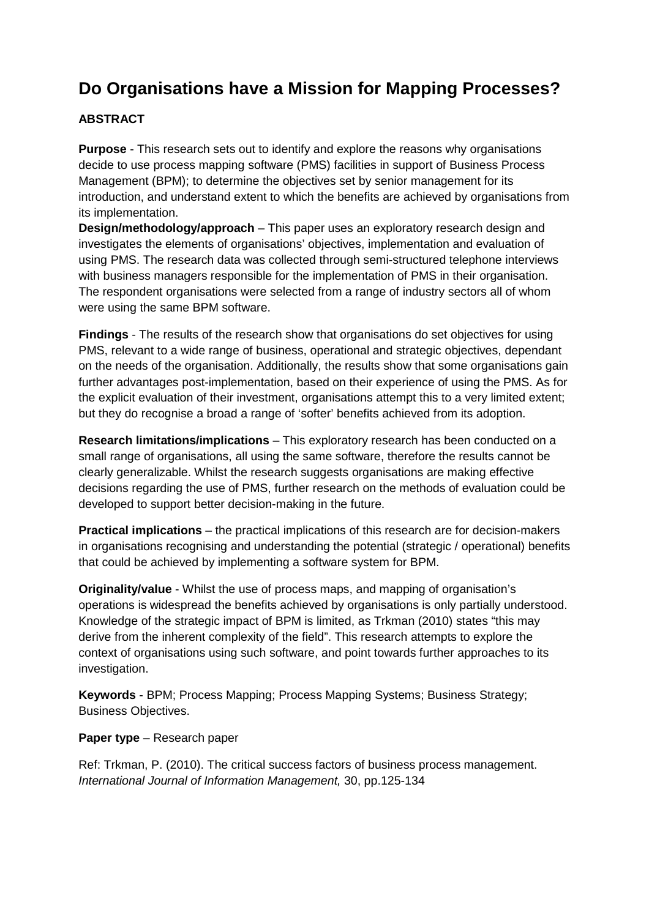# **Do Organisations have a Mission for Mapping Processes?**

# **ABSTRACT**

**Purpose** - This research sets out to identify and explore the reasons why organisations decide to use process mapping software (PMS) facilities in support of Business Process Management (BPM); to determine the objectives set by senior management for its introduction, and understand extent to which the benefits are achieved by organisations from its implementation.

**Design/methodology/approach** – This paper uses an exploratory research design and investigates the elements of organisations' objectives, implementation and evaluation of using PMS. The research data was collected through semi-structured telephone interviews with business managers responsible for the implementation of PMS in their organisation. The respondent organisations were selected from a range of industry sectors all of whom were using the same BPM software.

**Findings** - The results of the research show that organisations do set objectives for using PMS, relevant to a wide range of business, operational and strategic objectives, dependant on the needs of the organisation. Additionally, the results show that some organisations gain further advantages post-implementation, based on their experience of using the PMS. As for the explicit evaluation of their investment, organisations attempt this to a very limited extent; but they do recognise a broad a range of 'softer' benefits achieved from its adoption.

**Research limitations/implications** – This exploratory research has been conducted on a small range of organisations, all using the same software, therefore the results cannot be clearly generalizable. Whilst the research suggests organisations are making effective decisions regarding the use of PMS, further research on the methods of evaluation could be developed to support better decision-making in the future.

**Practical implications** – the practical implications of this research are for decision-makers in organisations recognising and understanding the potential (strategic / operational) benefits that could be achieved by implementing a software system for BPM.

**Originality/value** - Whilst the use of process maps, and mapping of organisation's operations is widespread the benefits achieved by organisations is only partially understood. Knowledge of the strategic impact of BPM is limited, as Trkman (2010) states "this may derive from the inherent complexity of the field". This research attempts to explore the context of organisations using such software, and point towards further approaches to its investigation.

**Keywords** - BPM; Process Mapping; Process Mapping Systems; Business Strategy; Business Objectives.

**Paper type** – Research paper

Ref: Trkman, P. (2010). The critical success factors of business process management. International Journal of Information Management, 30, pp.125-134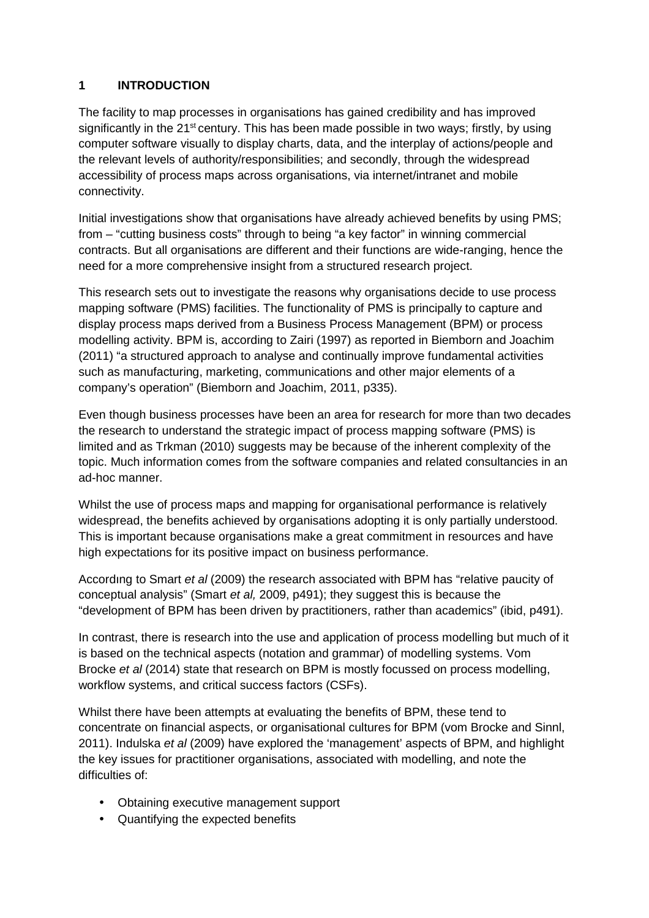# **1 INTRODUCTION**

The facility to map processes in organisations has gained credibility and has improved significantly in the 21<sup>st</sup> century. This has been made possible in two ways; firstly, by using computer software visually to display charts, data, and the interplay of actions/people and the relevant levels of authority/responsibilities; and secondly, through the widespread accessibility of process maps across organisations, via internet/intranet and mobile connectivity.

Initial investigations show that organisations have already achieved benefits by using PMS; from – "cutting business costs" through to being "a key factor" in winning commercial contracts. But all organisations are different and their functions are wide-ranging, hence the need for a more comprehensive insight from a structured research project.

This research sets out to investigate the reasons why organisations decide to use process mapping software (PMS) facilities. The functionality of PMS is principally to capture and display process maps derived from a Business Process Management (BPM) or process modelling activity. BPM is, according to Zairi (1997) as reported in Biemborn and Joachim (2011) "a structured approach to analyse and continually improve fundamental activities such as manufacturing, marketing, communications and other major elements of a company's operation" (Biemborn and Joachim, 2011, p335).

Even though business processes have been an area for research for more than two decades the research to understand the strategic impact of process mapping software (PMS) is limited and as Trkman (2010) suggests may be because of the inherent complexity of the topic. Much information comes from the software companies and related consultancies in an ad-hoc manner.

Whilst the use of process maps and mapping for organisational performance is relatively widespread, the benefits achieved by organisations adopting it is only partially understood. This is important because organisations make a great commitment in resources and have high expectations for its positive impact on business performance.

Accordıng to Smart et al (2009) the research associated with BPM has "relative paucity of conceptual analysis" (Smart et al, 2009, p491); they suggest this is because the "development of BPM has been driven by practitioners, rather than academics" (ibid, p491).

In contrast, there is research into the use and application of process modelling but much of it is based on the technical aspects (notation and grammar) of modelling systems. Vom Brocke et al (2014) state that research on BPM is mostly focussed on process modelling, workflow systems, and critical success factors (CSFs).

Whilst there have been attempts at evaluating the benefits of BPM, these tend to concentrate on financial aspects, or organisational cultures for BPM (vom Brocke and Sinnl, 2011). Indulska et al (2009) have explored the 'management' aspects of BPM, and highlight the key issues for practitioner organisations, associated with modelling, and note the difficulties of:

- Obtaining executive management support
- Quantifying the expected benefits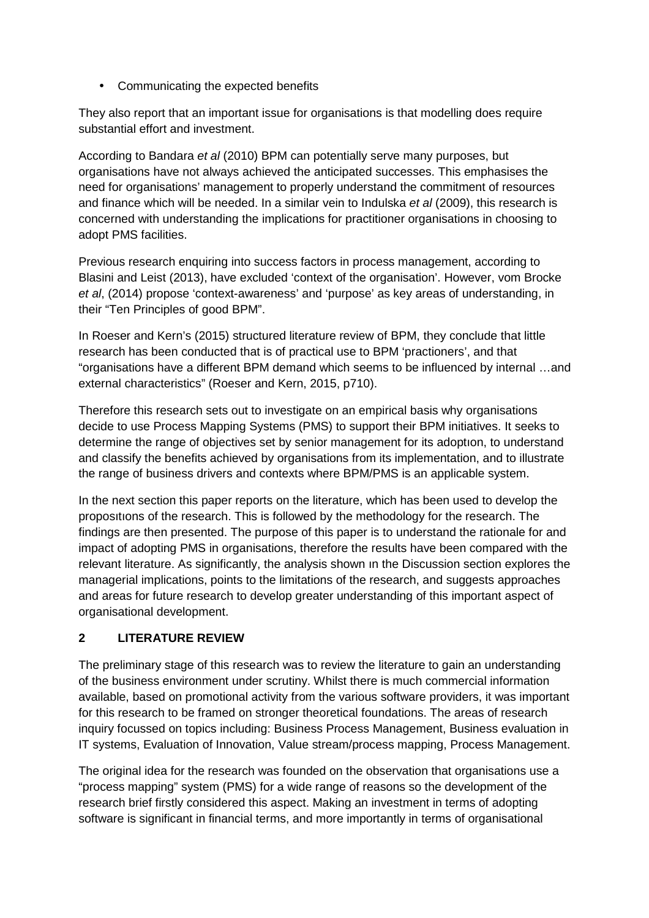• Communicating the expected benefits

They also report that an important issue for organisations is that modelling does require substantial effort and investment.

According to Bandara et al (2010) BPM can potentially serve many purposes, but organisations have not always achieved the anticipated successes. This emphasises the need for organisations' management to properly understand the commitment of resources and finance which will be needed. In a similar vein to Indulska et al (2009), this research is concerned with understanding the implications for practitioner organisations in choosing to adopt PMS facilities.

Previous research enquiring into success factors in process management, according to Blasini and Leist (2013), have excluded 'context of the organisation'. However, vom Brocke et al, (2014) propose 'context-awareness' and 'purpose' as key areas of understanding, in their "Ten Principles of good BPM".

In Roeser and Kern's (2015) structured literature review of BPM, they conclude that little research has been conducted that is of practical use to BPM 'practioners', and that "organisations have a different BPM demand which seems to be influenced by internal …and external characteristics" (Roeser and Kern, 2015, p710).

Therefore this research sets out to investigate on an empirical basis why organisations decide to use Process Mapping Systems (PMS) to support their BPM initiatives. It seeks to determine the range of objectives set by senior management for its adoptıon, to understand and classify the benefits achieved by organisations from its implementation, and to illustrate the range of business drivers and contexts where BPM/PMS is an applicable system.

In the next section this paper reports on the literature, which has been used to develop the proposıtıons of the research. This is followed by the methodology for the research. The findings are then presented. The purpose of this paper is to understand the rationale for and impact of adopting PMS in organisations, therefore the results have been compared with the relevant literature. As significantly, the analysis shown ın the Discussion section explores the managerial implications, points to the limitations of the research, and suggests approaches and areas for future research to develop greater understanding of this important aspect of organisational development.

# **2 LITERATURE REVIEW**

The preliminary stage of this research was to review the literature to gain an understanding of the business environment under scrutiny. Whilst there is much commercial information available, based on promotional activity from the various software providers, it was important for this research to be framed on stronger theoretical foundations. The areas of research inquiry focussed on topics including: Business Process Management, Business evaluation in IT systems, Evaluation of Innovation, Value stream/process mapping, Process Management.

The original idea for the research was founded on the observation that organisations use a "process mapping" system (PMS) for a wide range of reasons so the development of the research brief firstly considered this aspect. Making an investment in terms of adopting software is significant in financial terms, and more importantly in terms of organisational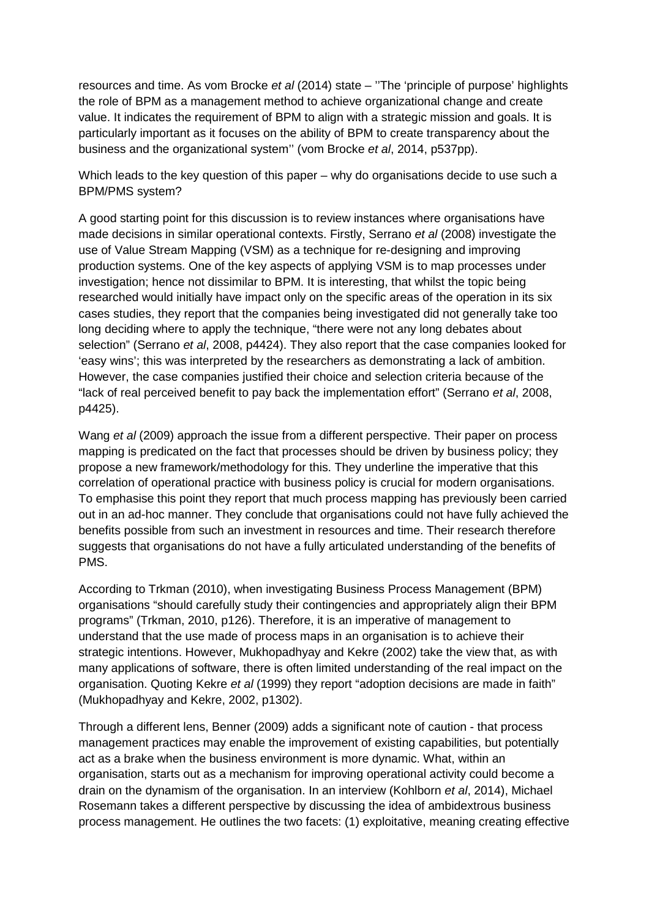resources and time. As vom Brocke et al (2014) state – "The 'principle of purpose' highlights the role of BPM as a management method to achieve organizational change and create value. It indicates the requirement of BPM to align with a strategic mission and goals. It is particularly important as it focuses on the ability of BPM to create transparency about the business and the organizational system'' (vom Brocke et al, 2014, p537pp).

Which leads to the key question of this paper – why do organisations decide to use such a BPM/PMS system?

A good starting point for this discussion is to review instances where organisations have made decisions in similar operational contexts. Firstly, Serrano et al (2008) investigate the use of Value Stream Mapping (VSM) as a technique for re-designing and improving production systems. One of the key aspects of applying VSM is to map processes under investigation; hence not dissimilar to BPM. It is interesting, that whilst the topic being researched would initially have impact only on the specific areas of the operation in its six cases studies, they report that the companies being investigated did not generally take too long deciding where to apply the technique, "there were not any long debates about selection" (Serrano et al, 2008, p4424). They also report that the case companies looked for 'easy wins'; this was interpreted by the researchers as demonstrating a lack of ambition. However, the case companies justified their choice and selection criteria because of the "lack of real perceived benefit to pay back the implementation effort" (Serrano et al, 2008, p4425).

Wang et al (2009) approach the issue from a different perspective. Their paper on process mapping is predicated on the fact that processes should be driven by business policy; they propose a new framework/methodology for this. They underline the imperative that this correlation of operational practice with business policy is crucial for modern organisations. To emphasise this point they report that much process mapping has previously been carried out in an ad-hoc manner. They conclude that organisations could not have fully achieved the benefits possible from such an investment in resources and time. Their research therefore suggests that organisations do not have a fully articulated understanding of the benefits of PMS.

According to Trkman (2010), when investigating Business Process Management (BPM) organisations "should carefully study their contingencies and appropriately align their BPM programs" (Trkman, 2010, p126). Therefore, it is an imperative of management to understand that the use made of process maps in an organisation is to achieve their strategic intentions. However, Mukhopadhyay and Kekre (2002) take the view that, as with many applications of software, there is often limited understanding of the real impact on the organisation. Quoting Kekre et al (1999) they report "adoption decisions are made in faith" (Mukhopadhyay and Kekre, 2002, p1302).

Through a different lens, Benner (2009) adds a significant note of caution - that process management practices may enable the improvement of existing capabilities, but potentially act as a brake when the business environment is more dynamic. What, within an organisation, starts out as a mechanism for improving operational activity could become a drain on the dynamism of the organisation. In an interview (Kohlborn et al, 2014), Michael Rosemann takes a different perspective by discussing the idea of ambidextrous business process management. He outlines the two facets: (1) exploitative, meaning creating effective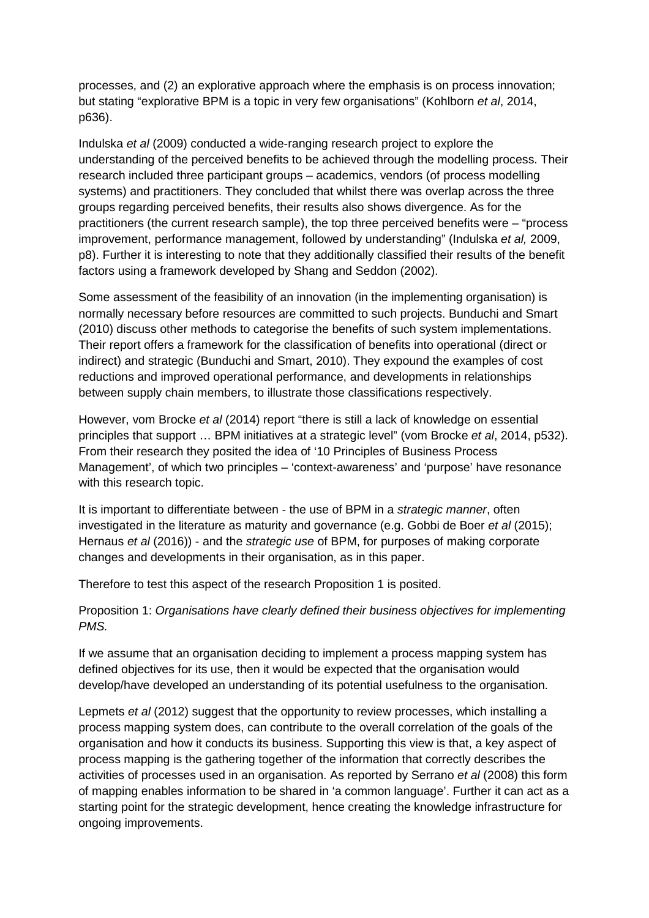processes, and (2) an explorative approach where the emphasis is on process innovation; but stating "explorative BPM is a topic in very few organisations" (Kohlborn et al, 2014, p636).

Indulska et al (2009) conducted a wide-ranging research project to explore the understanding of the perceived benefits to be achieved through the modelling process. Their research included three participant groups – academics, vendors (of process modelling systems) and practitioners. They concluded that whilst there was overlap across the three groups regarding perceived benefits, their results also shows divergence. As for the practitioners (the current research sample), the top three perceived benefits were – "process improvement, performance management, followed by understanding" (Indulska et al, 2009, p8). Further it is interesting to note that they additionally classified their results of the benefit factors using a framework developed by Shang and Seddon (2002).

Some assessment of the feasibility of an innovation (in the implementing organisation) is normally necessary before resources are committed to such projects. Bunduchi and Smart (2010) discuss other methods to categorise the benefits of such system implementations. Their report offers a framework for the classification of benefits into operational (direct or indirect) and strategic (Bunduchi and Smart, 2010). They expound the examples of cost reductions and improved operational performance, and developments in relationships between supply chain members, to illustrate those classifications respectively.

However, vom Brocke et al (2014) report "there is still a lack of knowledge on essential principles that support … BPM initiatives at a strategic level" (vom Brocke et al, 2014, p532). From their research they posited the idea of '10 Principles of Business Process Management', of which two principles – 'context-awareness' and 'purpose' have resonance with this research topic.

It is important to differentiate between - the use of BPM in a *strategic manner*, often investigated in the literature as maturity and governance (e.g. Gobbi de Boer et al (2015); Hernaus et al (2016)) - and the *strategic use* of BPM, for purposes of making corporate changes and developments in their organisation, as in this paper.

Therefore to test this aspect of the research Proposition 1 is posited.

Proposition 1: Organisations have clearly defined their business objectives for implementing PMS.

If we assume that an organisation deciding to implement a process mapping system has defined objectives for its use, then it would be expected that the organisation would develop/have developed an understanding of its potential usefulness to the organisation.

Lepmets et al (2012) suggest that the opportunity to review processes, which installing a process mapping system does, can contribute to the overall correlation of the goals of the organisation and how it conducts its business. Supporting this view is that, a key aspect of process mapping is the gathering together of the information that correctly describes the activities of processes used in an organisation. As reported by Serrano et al (2008) this form of mapping enables information to be shared in 'a common language'. Further it can act as a starting point for the strategic development, hence creating the knowledge infrastructure for ongoing improvements.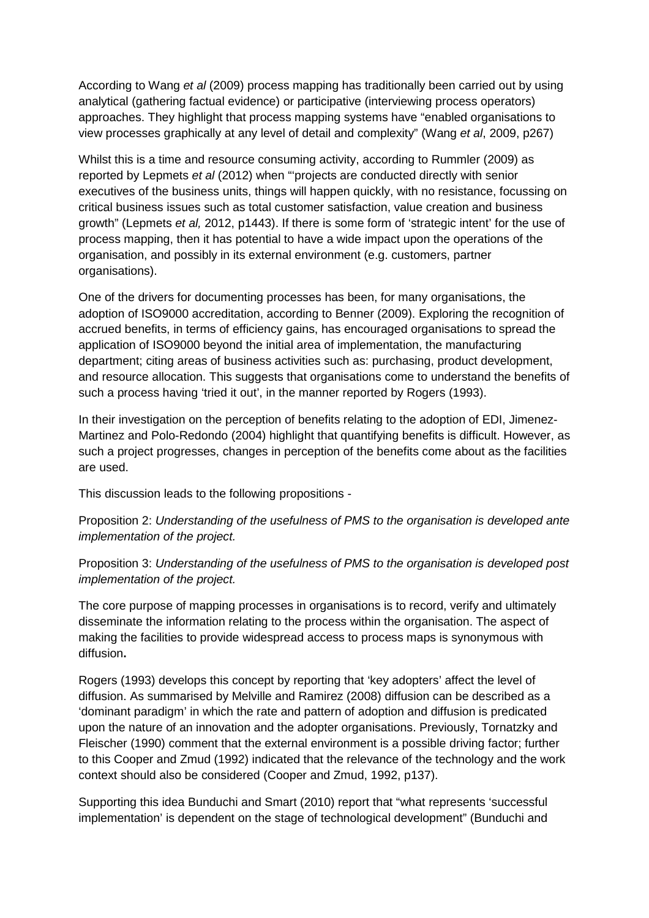According to Wang et al (2009) process mapping has traditionally been carried out by using analytical (gathering factual evidence) or participative (interviewing process operators) approaches. They highlight that process mapping systems have "enabled organisations to view processes graphically at any level of detail and complexity" (Wang et al, 2009, p267)

Whilst this is a time and resource consuming activity, according to Rummler (2009) as reported by Lepmets et al (2012) when "'projects are conducted directly with senior executives of the business units, things will happen quickly, with no resistance, focussing on critical business issues such as total customer satisfaction, value creation and business growth" (Lepmets et al, 2012, p1443). If there is some form of 'strategic intent' for the use of process mapping, then it has potential to have a wide impact upon the operations of the organisation, and possibly in its external environment (e.g. customers, partner organisations).

One of the drivers for documenting processes has been, for many organisations, the adoption of ISO9000 accreditation, according to Benner (2009). Exploring the recognition of accrued benefits, in terms of efficiency gains, has encouraged organisations to spread the application of ISO9000 beyond the initial area of implementation, the manufacturing department; citing areas of business activities such as: purchasing, product development, and resource allocation. This suggests that organisations come to understand the benefits of such a process having 'tried it out', in the manner reported by Rogers (1993).

In their investigation on the perception of benefits relating to the adoption of EDI, Jimenez-Martinez and Polo-Redondo (2004) highlight that quantifying benefits is difficult. However, as such a project progresses, changes in perception of the benefits come about as the facilities are used.

This discussion leads to the following propositions -

Proposition 2: Understanding of the usefulness of PMS to the organisation is developed ante implementation of the project.

Proposition 3: Understanding of the usefulness of PMS to the organisation is developed post implementation of the project.

The core purpose of mapping processes in organisations is to record, verify and ultimately disseminate the information relating to the process within the organisation. The aspect of making the facilities to provide widespread access to process maps is synonymous with diffusion**.** 

Rogers (1993) develops this concept by reporting that 'key adopters' affect the level of diffusion. As summarised by Melville and Ramirez (2008) diffusion can be described as a 'dominant paradigm' in which the rate and pattern of adoption and diffusion is predicated upon the nature of an innovation and the adopter organisations. Previously, Tornatzky and Fleischer (1990) comment that the external environment is a possible driving factor; further to this Cooper and Zmud (1992) indicated that the relevance of the technology and the work context should also be considered (Cooper and Zmud, 1992, p137).

Supporting this idea Bunduchi and Smart (2010) report that "what represents 'successful implementation' is dependent on the stage of technological development" (Bunduchi and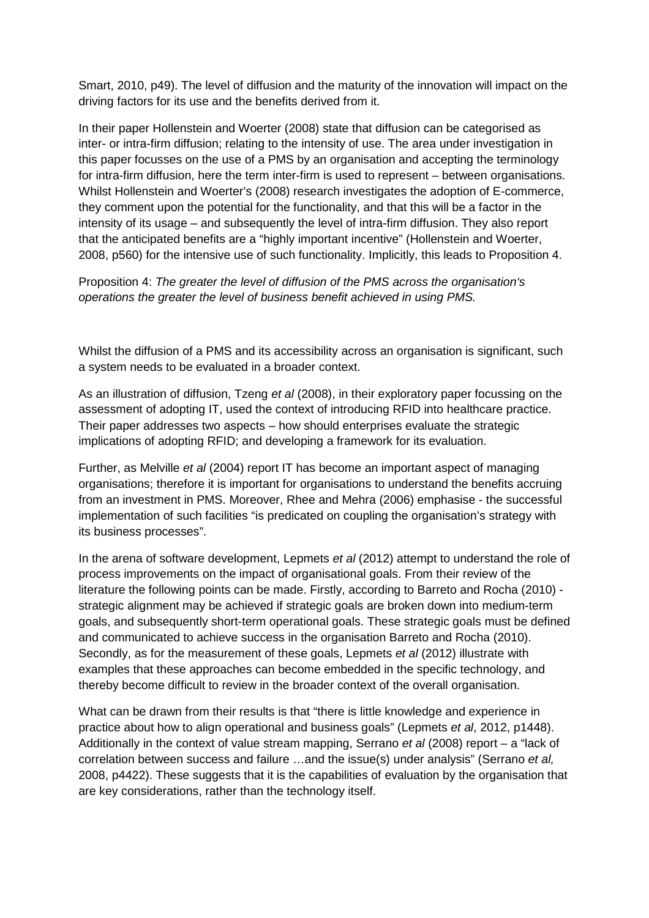Smart, 2010, p49). The level of diffusion and the maturity of the innovation will impact on the driving factors for its use and the benefits derived from it.

In their paper Hollenstein and Woerter (2008) state that diffusion can be categorised as inter- or intra-firm diffusion; relating to the intensity of use. The area under investigation in this paper focusses on the use of a PMS by an organisation and accepting the terminology for intra-firm diffusion, here the term inter-firm is used to represent – between organisations. Whilst Hollenstein and Woerter's (2008) research investigates the adoption of E-commerce, they comment upon the potential for the functionality, and that this will be a factor in the intensity of its usage – and subsequently the level of intra-firm diffusion. They also report that the anticipated benefits are a "highly important incentive" (Hollenstein and Woerter, 2008, p560) for the intensive use of such functionality. Implicitly, this leads to Proposition 4.

Proposition 4: The greater the level of diffusion of the PMS across the organisation's operations the greater the level of business benefit achieved in using PMS.

Whilst the diffusion of a PMS and its accessibility across an organisation is significant, such a system needs to be evaluated in a broader context.

As an illustration of diffusion, Tzeng et al (2008), in their exploratory paper focussing on the assessment of adopting IT, used the context of introducing RFID into healthcare practice. Their paper addresses two aspects – how should enterprises evaluate the strategic implications of adopting RFID; and developing a framework for its evaluation.

Further, as Melville et al (2004) report IT has become an important aspect of managing organisations; therefore it is important for organisations to understand the benefits accruing from an investment in PMS. Moreover, Rhee and Mehra (2006) emphasise - the successful implementation of such facilities "is predicated on coupling the organisation's strategy with its business processes".

In the arena of software development, Lepmets et al (2012) attempt to understand the role of process improvements on the impact of organisational goals. From their review of the literature the following points can be made. Firstly, according to Barreto and Rocha (2010) strategic alignment may be achieved if strategic goals are broken down into medium-term goals, and subsequently short-term operational goals. These strategic goals must be defined and communicated to achieve success in the organisation Barreto and Rocha (2010). Secondly, as for the measurement of these goals, Lepmets et al (2012) illustrate with examples that these approaches can become embedded in the specific technology, and thereby become difficult to review in the broader context of the overall organisation.

What can be drawn from their results is that "there is little knowledge and experience in practice about how to align operational and business goals" (Lepmets et al, 2012, p1448). Additionally in the context of value stream mapping, Serrano et al (2008) report – a "lack of correlation between success and failure …and the issue(s) under analysis" (Serrano et al, 2008, p4422). These suggests that it is the capabilities of evaluation by the organisation that are key considerations, rather than the technology itself.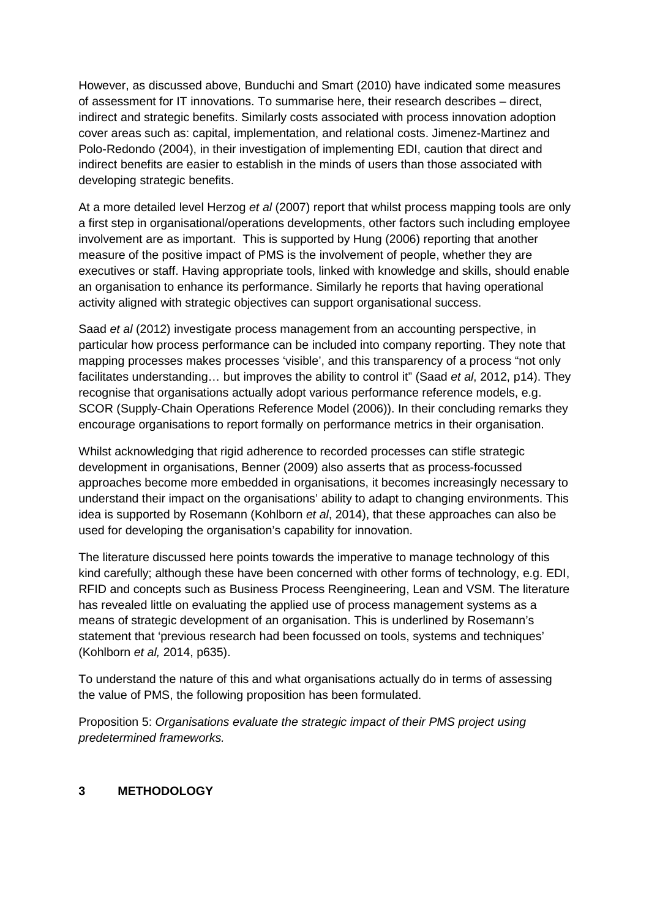However, as discussed above, Bunduchi and Smart (2010) have indicated some measures of assessment for IT innovations. To summarise here, their research describes – direct, indirect and strategic benefits. Similarly costs associated with process innovation adoption cover areas such as: capital, implementation, and relational costs. Jimenez-Martinez and Polo-Redondo (2004), in their investigation of implementing EDI, caution that direct and indirect benefits are easier to establish in the minds of users than those associated with developing strategic benefits.

At a more detailed level Herzog et al (2007) report that whilst process mapping tools are only a first step in organisational/operations developments, other factors such including employee involvement are as important. This is supported by Hung (2006) reporting that another measure of the positive impact of PMS is the involvement of people, whether they are executives or staff. Having appropriate tools, linked with knowledge and skills, should enable an organisation to enhance its performance. Similarly he reports that having operational activity aligned with strategic objectives can support organisational success.

Saad et al (2012) investigate process management from an accounting perspective, in particular how process performance can be included into company reporting. They note that mapping processes makes processes 'visible', and this transparency of a process "not only facilitates understanding... but improves the ability to control it" (Saad et al, 2012, p14). They recognise that organisations actually adopt various performance reference models, e.g. SCOR (Supply-Chain Operations Reference Model (2006)). In their concluding remarks they encourage organisations to report formally on performance metrics in their organisation.

Whilst acknowledging that rigid adherence to recorded processes can stifle strategic development in organisations, Benner (2009) also asserts that as process-focussed approaches become more embedded in organisations, it becomes increasingly necessary to understand their impact on the organisations' ability to adapt to changing environments. This idea is supported by Rosemann (Kohlborn et al, 2014), that these approaches can also be used for developing the organisation's capability for innovation.

The literature discussed here points towards the imperative to manage technology of this kind carefully; although these have been concerned with other forms of technology, e.g. EDI, RFID and concepts such as Business Process Reengineering, Lean and VSM. The literature has revealed little on evaluating the applied use of process management systems as a means of strategic development of an organisation. This is underlined by Rosemann's statement that 'previous research had been focussed on tools, systems and techniques' (Kohlborn et al, 2014, p635).

To understand the nature of this and what organisations actually do in terms of assessing the value of PMS, the following proposition has been formulated.

Proposition 5: Organisations evaluate the strategic impact of their PMS project using predetermined frameworks.

## **3 METHODOLOGY**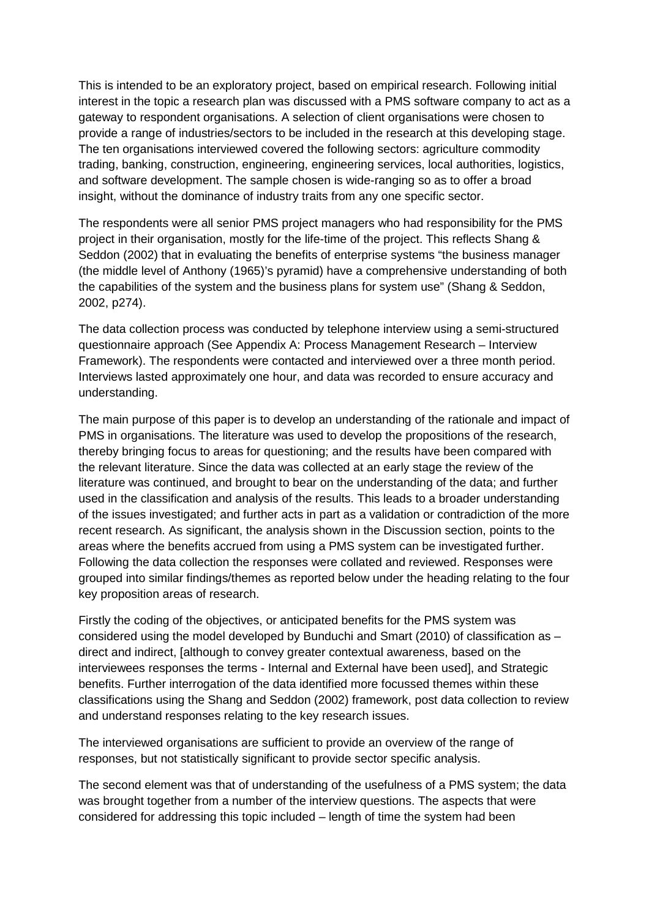This is intended to be an exploratory project, based on empirical research. Following initial interest in the topic a research plan was discussed with a PMS software company to act as a gateway to respondent organisations. A selection of client organisations were chosen to provide a range of industries/sectors to be included in the research at this developing stage. The ten organisations interviewed covered the following sectors: agriculture commodity trading, banking, construction, engineering, engineering services, local authorities, logistics, and software development. The sample chosen is wide-ranging so as to offer a broad insight, without the dominance of industry traits from any one specific sector.

The respondents were all senior PMS project managers who had responsibility for the PMS project in their organisation, mostly for the life-time of the project. This reflects Shang & Seddon (2002) that in evaluating the benefits of enterprise systems "the business manager (the middle level of Anthony (1965)'s pyramid) have a comprehensive understanding of both the capabilities of the system and the business plans for system use" (Shang & Seddon, 2002, p274).

The data collection process was conducted by telephone interview using a semi-structured questionnaire approach (See Appendix A: Process Management Research – Interview Framework). The respondents were contacted and interviewed over a three month period. Interviews lasted approximately one hour, and data was recorded to ensure accuracy and understanding.

The main purpose of this paper is to develop an understanding of the rationale and impact of PMS in organisations. The literature was used to develop the propositions of the research, thereby bringing focus to areas for questioning; and the results have been compared with the relevant literature. Since the data was collected at an early stage the review of the literature was continued, and brought to bear on the understanding of the data; and further used in the classification and analysis of the results. This leads to a broader understanding of the issues investigated; and further acts in part as a validation or contradiction of the more recent research. As significant, the analysis shown in the Discussion section, points to the areas where the benefits accrued from using a PMS system can be investigated further. Following the data collection the responses were collated and reviewed. Responses were grouped into similar findings/themes as reported below under the heading relating to the four key proposition areas of research.

Firstly the coding of the objectives, or anticipated benefits for the PMS system was considered using the model developed by Bunduchi and Smart (2010) of classification as – direct and indirect, [although to convey greater contextual awareness, based on the interviewees responses the terms - Internal and External have been used], and Strategic benefits. Further interrogation of the data identified more focussed themes within these classifications using the Shang and Seddon (2002) framework, post data collection to review and understand responses relating to the key research issues.

The interviewed organisations are sufficient to provide an overview of the range of responses, but not statistically significant to provide sector specific analysis.

The second element was that of understanding of the usefulness of a PMS system; the data was brought together from a number of the interview questions. The aspects that were considered for addressing this topic included – length of time the system had been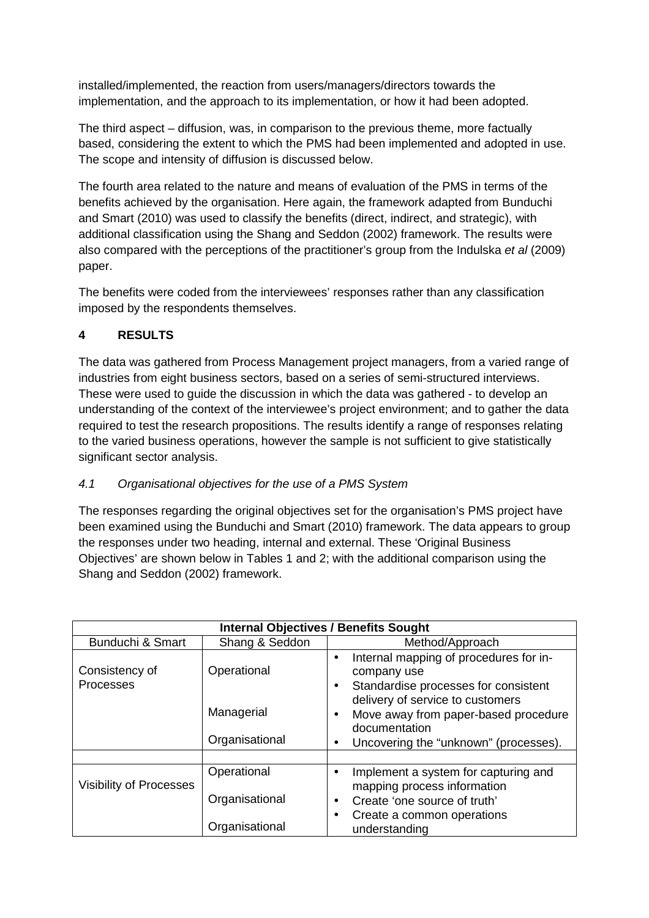installed/implemented, the reaction from users/managers/directors towards the implementation, and the approach to its implementation, or how it had been adopted.

The third aspect – diffusion, was, in comparison to the previous theme, more factually based, considering the extent to which the PMS had been implemented and adopted in use. The scope and intensity of diffusion is discussed below.

The fourth area related to the nature and means of evaluation of the PMS in terms of the benefits achieved by the organisation. Here again, the framework adapted from Bunduchi and Smart (2010) was used to classify the benefits (direct, indirect, and strategic), with additional classification using the Shang and Seddon (2002) framework. The results were also compared with the perceptions of the practitioner's group from the Indulska et al (2009) paper.

The benefits were coded from the interviewees' responses rather than any classification imposed by the respondents themselves.

# **4 RESULTS**

The data was gathered from Process Management project managers, from a varied range of industries from eight business sectors, based on a series of semi-structured interviews. These were used to guide the discussion in which the data was gathered - to develop an understanding of the context of the interviewee's project environment; and to gather the data required to test the research propositions. The results identify a range of responses relating to the varied business operations, however the sample is not sufficient to give statistically significant sector analysis.

## 4.1 Organisational objectives for the use of a PMS System

The responses regarding the original objectives set for the organisation's PMS project have been examined using the Bunduchi and Smart (2010) framework. The data appears to group the responses under two heading, internal and external. These 'Original Business Objectives' are shown below in Tables 1 and 2; with the additional comparison using the Shang and Seddon (2002) framework.

| <b>Internal Objectives / Benefits Sought</b> |                |                                                                                                            |  |
|----------------------------------------------|----------------|------------------------------------------------------------------------------------------------------------|--|
| Bunduchi & Smart                             | Shang & Seddon | Method/Approach                                                                                            |  |
| Consistency of<br>Processes                  | Operational    | Internal mapping of procedures for in-<br>$\bullet$<br>company use<br>Standardise processes for consistent |  |
|                                              | Managerial     | delivery of service to customers<br>Move away from paper-based procedure<br>documentation                  |  |
|                                              | Organisational | Uncovering the "unknown" (processes).                                                                      |  |
|                                              |                |                                                                                                            |  |
| <b>Visibility of Processes</b>               | Operational    | Implement a system for capturing and<br>mapping process information                                        |  |
|                                              | Organisational | Create 'one source of truth'                                                                               |  |
|                                              | Organisational | Create a common operations<br>understanding                                                                |  |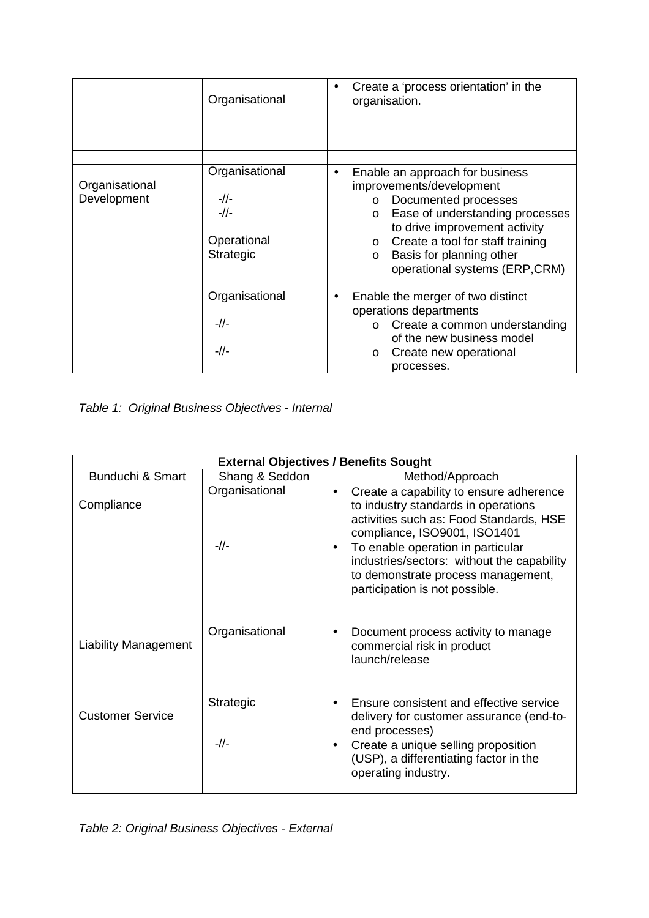|                               | Organisational                                               | Create a 'process orientation' in the<br>organisation.                                                                                                                                                                                                                                                      |
|-------------------------------|--------------------------------------------------------------|-------------------------------------------------------------------------------------------------------------------------------------------------------------------------------------------------------------------------------------------------------------------------------------------------------------|
| Organisational<br>Development | Organisational<br>$-1/$<br>$-1/$<br>Operational<br>Strategic | Enable an approach for business<br>٠<br>improvements/development<br>Documented processes<br>$\Omega$<br>Ease of understanding processes<br>$\circ$<br>to drive improvement activity<br>Create a tool for staff training<br>$\circ$<br>Basis for planning other<br>$\circ$<br>operational systems (ERP, CRM) |
|                               | Organisational<br>$-1/$<br>$-1/$                             | Enable the merger of two distinct<br>operations departments<br>Create a common understanding<br>$\Omega$<br>of the new business model<br>Create new operational<br>$\circ$<br>processes.                                                                                                                    |

Table 1: Original Business Objectives - Internal

| <b>External Objectives / Benefits Sought</b> |                          |                                                                                                                                                                                                                                                                                                                      |  |
|----------------------------------------------|--------------------------|----------------------------------------------------------------------------------------------------------------------------------------------------------------------------------------------------------------------------------------------------------------------------------------------------------------------|--|
| Bunduchi & Smart                             | Shang & Seddon           | Method/Approach                                                                                                                                                                                                                                                                                                      |  |
| Compliance                                   | Organisational<br>$-1/-$ | Create a capability to ensure adherence<br>to industry standards in operations<br>activities such as: Food Standards, HSE<br>compliance, ISO9001, ISO1401<br>To enable operation in particular<br>industries/sectors: without the capability<br>to demonstrate process management,<br>participation is not possible. |  |
| <b>Liability Management</b>                  | Organisational           | Document process activity to manage<br>commercial risk in product<br>launch/release                                                                                                                                                                                                                                  |  |
| <b>Customer Service</b>                      | Strategic<br>$-1/$       | Ensure consistent and effective service<br>delivery for customer assurance (end-to-<br>end processes)<br>Create a unique selling proposition<br>(USP), a differentiating factor in the<br>operating industry.                                                                                                        |  |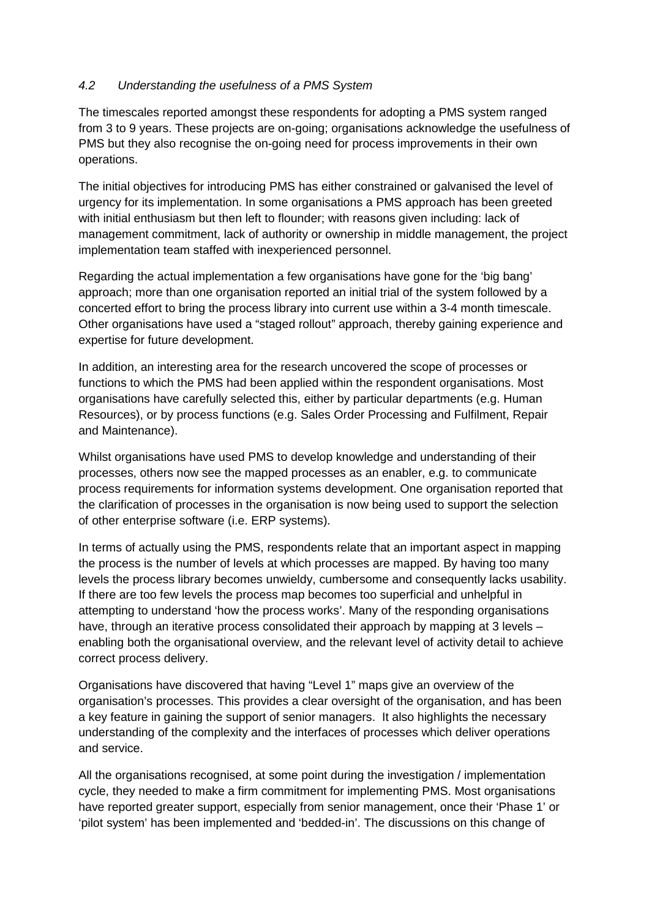## 4.2 Understanding the usefulness of a PMS System

The timescales reported amongst these respondents for adopting a PMS system ranged from 3 to 9 years. These projects are on-going; organisations acknowledge the usefulness of PMS but they also recognise the on-going need for process improvements in their own operations.

The initial objectives for introducing PMS has either constrained or galvanised the level of urgency for its implementation. In some organisations a PMS approach has been greeted with initial enthusiasm but then left to flounder; with reasons given including: lack of management commitment, lack of authority or ownership in middle management, the project implementation team staffed with inexperienced personnel.

Regarding the actual implementation a few organisations have gone for the 'big bang' approach; more than one organisation reported an initial trial of the system followed by a concerted effort to bring the process library into current use within a 3-4 month timescale. Other organisations have used a "staged rollout" approach, thereby gaining experience and expertise for future development.

In addition, an interesting area for the research uncovered the scope of processes or functions to which the PMS had been applied within the respondent organisations. Most organisations have carefully selected this, either by particular departments (e.g. Human Resources), or by process functions (e.g. Sales Order Processing and Fulfilment, Repair and Maintenance).

Whilst organisations have used PMS to develop knowledge and understanding of their processes, others now see the mapped processes as an enabler, e.g. to communicate process requirements for information systems development. One organisation reported that the clarification of processes in the organisation is now being used to support the selection of other enterprise software (i.e. ERP systems).

In terms of actually using the PMS, respondents relate that an important aspect in mapping the process is the number of levels at which processes are mapped. By having too many levels the process library becomes unwieldy, cumbersome and consequently lacks usability. If there are too few levels the process map becomes too superficial and unhelpful in attempting to understand 'how the process works'. Many of the responding organisations have, through an iterative process consolidated their approach by mapping at 3 levels – enabling both the organisational overview, and the relevant level of activity detail to achieve correct process delivery.

Organisations have discovered that having "Level 1" maps give an overview of the organisation's processes. This provides a clear oversight of the organisation, and has been a key feature in gaining the support of senior managers. It also highlights the necessary understanding of the complexity and the interfaces of processes which deliver operations and service.

All the organisations recognised, at some point during the investigation / implementation cycle, they needed to make a firm commitment for implementing PMS. Most organisations have reported greater support, especially from senior management, once their 'Phase 1' or 'pilot system' has been implemented and 'bedded-in'. The discussions on this change of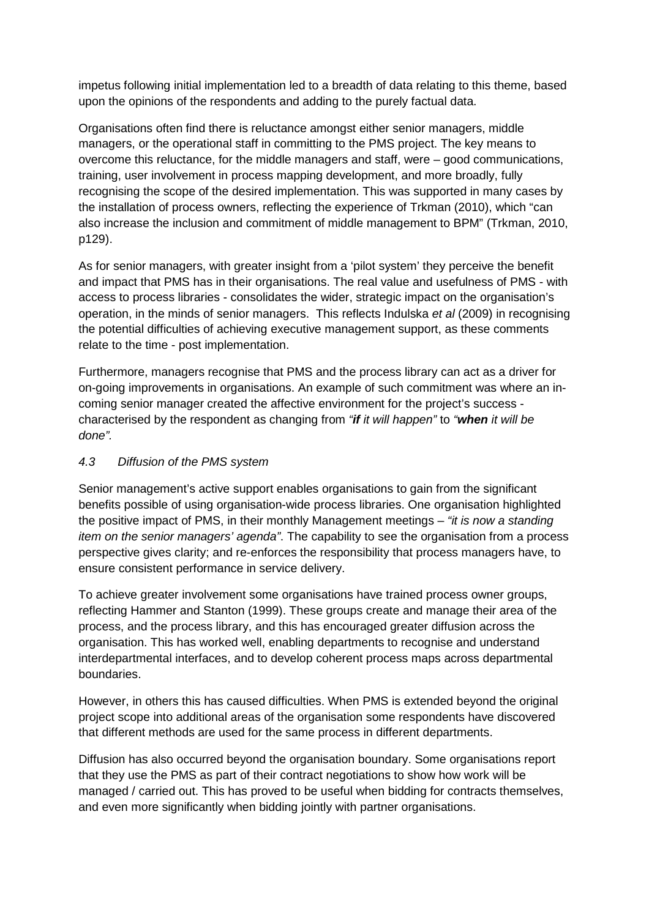impetus following initial implementation led to a breadth of data relating to this theme, based upon the opinions of the respondents and adding to the purely factual data.

Organisations often find there is reluctance amongst either senior managers, middle managers, or the operational staff in committing to the PMS project. The key means to overcome this reluctance, for the middle managers and staff, were – good communications, training, user involvement in process mapping development, and more broadly, fully recognising the scope of the desired implementation. This was supported in many cases by the installation of process owners, reflecting the experience of Trkman (2010), which "can also increase the inclusion and commitment of middle management to BPM" (Trkman, 2010, p129).

As for senior managers, with greater insight from a 'pilot system' they perceive the benefit and impact that PMS has in their organisations. The real value and usefulness of PMS - with access to process libraries - consolidates the wider, strategic impact on the organisation's operation, in the minds of senior managers. This reflects Indulska et al (2009) in recognising the potential difficulties of achieving executive management support, as these comments relate to the time - post implementation.

Furthermore, managers recognise that PMS and the process library can act as a driver for on-going improvements in organisations. An example of such commitment was where an incoming senior manager created the affective environment for the project's success characterised by the respondent as changing from "**if** it will happen" to "**when** it will be done".

## 4.3 Diffusion of the PMS system

Senior management's active support enables organisations to gain from the significant benefits possible of using organisation-wide process libraries. One organisation highlighted the positive impact of PMS, in their monthly Management meetings  $-$  "it is now a standing item on the senior managers' agenda". The capability to see the organisation from a process perspective gives clarity; and re-enforces the responsibility that process managers have, to ensure consistent performance in service delivery.

To achieve greater involvement some organisations have trained process owner groups, reflecting Hammer and Stanton (1999). These groups create and manage their area of the process, and the process library, and this has encouraged greater diffusion across the organisation. This has worked well, enabling departments to recognise and understand interdepartmental interfaces, and to develop coherent process maps across departmental boundaries.

However, in others this has caused difficulties. When PMS is extended beyond the original project scope into additional areas of the organisation some respondents have discovered that different methods are used for the same process in different departments.

Diffusion has also occurred beyond the organisation boundary. Some organisations report that they use the PMS as part of their contract negotiations to show how work will be managed / carried out. This has proved to be useful when bidding for contracts themselves, and even more significantly when bidding jointly with partner organisations.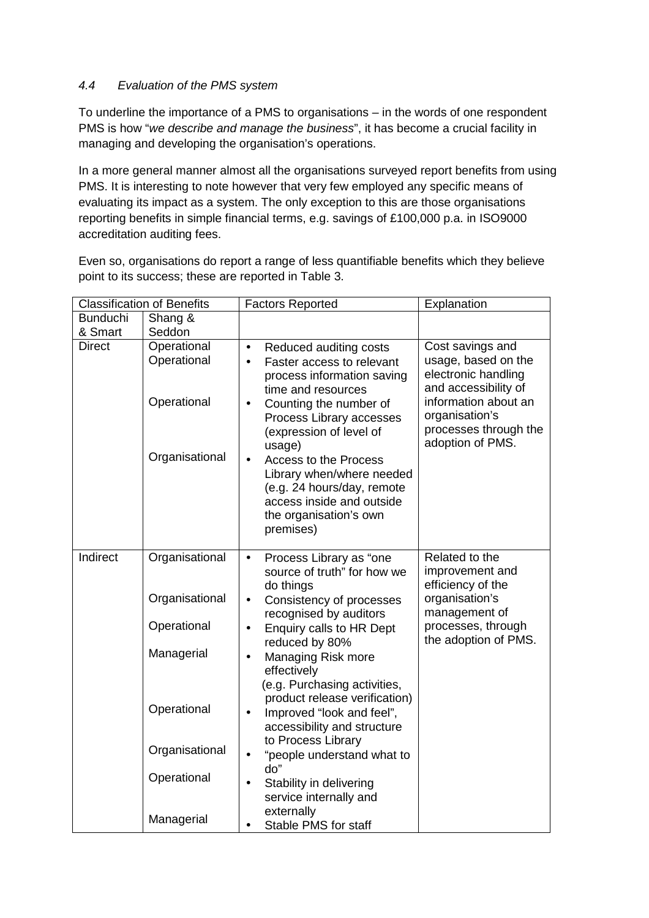## 4.4 Evaluation of the PMS system

To underline the importance of a PMS to organisations – in the words of one respondent PMS is how "we describe and manage the business", it has become a crucial facility in managing and developing the organisation's operations.

In a more general manner almost all the organisations surveyed report benefits from using PMS. It is interesting to note however that very few employed any specific means of evaluating its impact as a system. The only exception to this are those organisations reporting benefits in simple financial terms, e.g. savings of £100,000 p.a. in ISO9000 accreditation auditing fees.

Even so, organisations do report a range of less quantifiable benefits which they believe point to its success; these are reported in Table 3.

| <b>Classification of Benefits</b> |                                                                                                                             | <b>Factors Reported</b>                                                                                                                                                                                                                                                                                                                                                                                                                                                                                                                                                                     | Explanation                                                                                                                                                                   |
|-----------------------------------|-----------------------------------------------------------------------------------------------------------------------------|---------------------------------------------------------------------------------------------------------------------------------------------------------------------------------------------------------------------------------------------------------------------------------------------------------------------------------------------------------------------------------------------------------------------------------------------------------------------------------------------------------------------------------------------------------------------------------------------|-------------------------------------------------------------------------------------------------------------------------------------------------------------------------------|
| <b>Bunduchi</b>                   | Shang &                                                                                                                     |                                                                                                                                                                                                                                                                                                                                                                                                                                                                                                                                                                                             |                                                                                                                                                                               |
| & Smart                           | Seddon                                                                                                                      |                                                                                                                                                                                                                                                                                                                                                                                                                                                                                                                                                                                             |                                                                                                                                                                               |
| <b>Direct</b>                     | Operational<br>Operational<br>Operational                                                                                   | Reduced auditing costs<br>$\bullet$<br>Faster access to relevant<br>$\bullet$<br>process information saving<br>time and resources<br>Counting the number of<br>$\bullet$<br>Process Library accesses<br>(expression of level of<br>usage)                                                                                                                                                                                                                                                                                                                                                   | Cost savings and<br>usage, based on the<br>electronic handling<br>and accessibility of<br>information about an<br>organisation's<br>processes through the<br>adoption of PMS. |
|                                   | Organisational                                                                                                              | Access to the Process<br>$\bullet$<br>Library when/where needed<br>(e.g. 24 hours/day, remote<br>access inside and outside<br>the organisation's own<br>premises)                                                                                                                                                                                                                                                                                                                                                                                                                           |                                                                                                                                                                               |
| Indirect                          | Organisational<br>Organisational<br>Operational<br>Managerial<br>Operational<br>Organisational<br>Operational<br>Managerial | Process Library as "one<br>$\bullet$<br>source of truth" for how we<br>do things<br>Consistency of processes<br>$\bullet$<br>recognised by auditors<br><b>Enquiry calls to HR Dept</b><br>$\bullet$<br>reduced by 80%<br><b>Managing Risk more</b><br>$\bullet$<br>effectively<br>(e.g. Purchasing activities,<br>product release verification)<br>Improved "look and feel",<br>$\bullet$<br>accessibility and structure<br>to Process Library<br>"people understand what to<br>$\bullet$<br>do"<br>Stability in delivering<br>service internally and<br>externally<br>Stable PMS for staff | Related to the<br>improvement and<br>efficiency of the<br>organisation's<br>management of<br>processes, through<br>the adoption of PMS.                                       |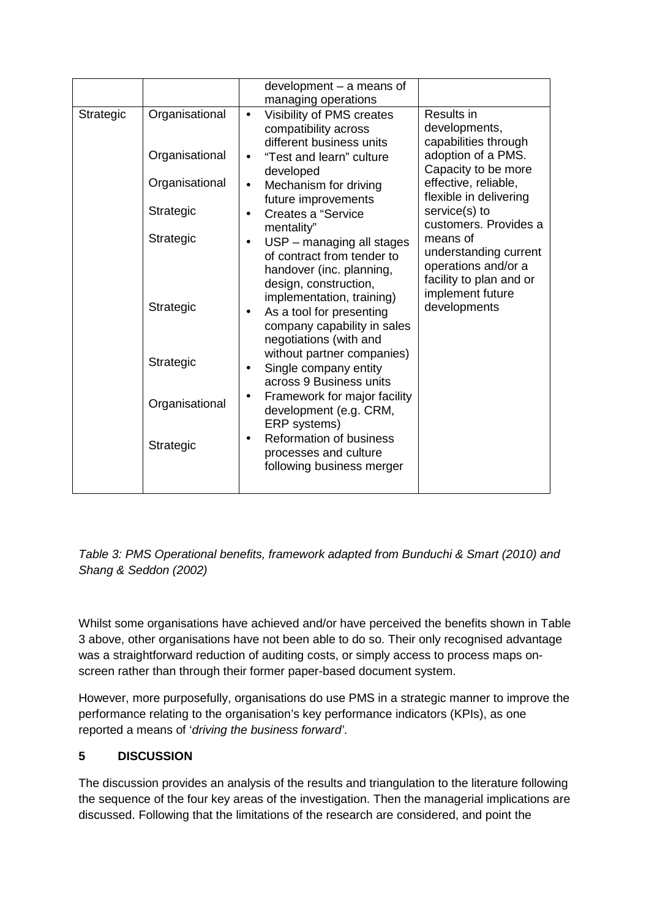|           |                                                                                                         | development - a means of<br>managing operations                                                                                                                                                                                                                                                                                                                                                                                                                                                  |                                                                                                                                                                                                                                                                                                                         |
|-----------|---------------------------------------------------------------------------------------------------------|--------------------------------------------------------------------------------------------------------------------------------------------------------------------------------------------------------------------------------------------------------------------------------------------------------------------------------------------------------------------------------------------------------------------------------------------------------------------------------------------------|-------------------------------------------------------------------------------------------------------------------------------------------------------------------------------------------------------------------------------------------------------------------------------------------------------------------------|
| Strategic | Organisational<br>Organisational<br>Organisational<br><b>Strategic</b><br><b>Strategic</b><br>Strategic | Visibility of PMS creates<br>$\bullet$<br>compatibility across<br>different business units<br>"Test and learn" culture<br>$\bullet$<br>developed<br>Mechanism for driving<br>$\bullet$<br>future improvements<br>Creates a "Service<br>$\bullet$<br>mentality"<br>USP - managing all stages<br>$\bullet$<br>of contract from tender to<br>handover (inc. planning,<br>design, construction,<br>implementation, training)<br>As a tool for presenting<br>$\bullet$<br>company capability in sales | Results in<br>developments,<br>capabilities through<br>adoption of a PMS.<br>Capacity to be more<br>effective, reliable,<br>flexible in delivering<br>service(s) to<br>customers. Provides a<br>means of<br>understanding current<br>operations and/or a<br>facility to plan and or<br>implement future<br>developments |
|           | <b>Strategic</b>                                                                                        | negotiations (with and<br>without partner companies)<br>Single company entity<br>$\bullet$<br>across 9 Business units<br>Framework for major facility<br>$\bullet$                                                                                                                                                                                                                                                                                                                               |                                                                                                                                                                                                                                                                                                                         |
|           | Organisational<br>development (e.g. CRM,<br>ERP systems)<br><b>Reformation of business</b><br>Strategic |                                                                                                                                                                                                                                                                                                                                                                                                                                                                                                  |                                                                                                                                                                                                                                                                                                                         |
|           |                                                                                                         | processes and culture<br>following business merger                                                                                                                                                                                                                                                                                                                                                                                                                                               |                                                                                                                                                                                                                                                                                                                         |

Table 3: PMS Operational benefits, framework adapted from Bunduchi & Smart (2010) and Shang & Seddon (2002)

Whilst some organisations have achieved and/or have perceived the benefits shown in Table 3 above, other organisations have not been able to do so. Their only recognised advantage was a straightforward reduction of auditing costs, or simply access to process maps onscreen rather than through their former paper-based document system.

However, more purposefully, organisations do use PMS in a strategic manner to improve the performance relating to the organisation's key performance indicators (KPIs), as one reported a means of 'driving the business forward'.

# **5 DISCUSSION**

The discussion provides an analysis of the results and triangulation to the literature following the sequence of the four key areas of the investigation. Then the managerial implications are discussed. Following that the limitations of the research are considered, and point the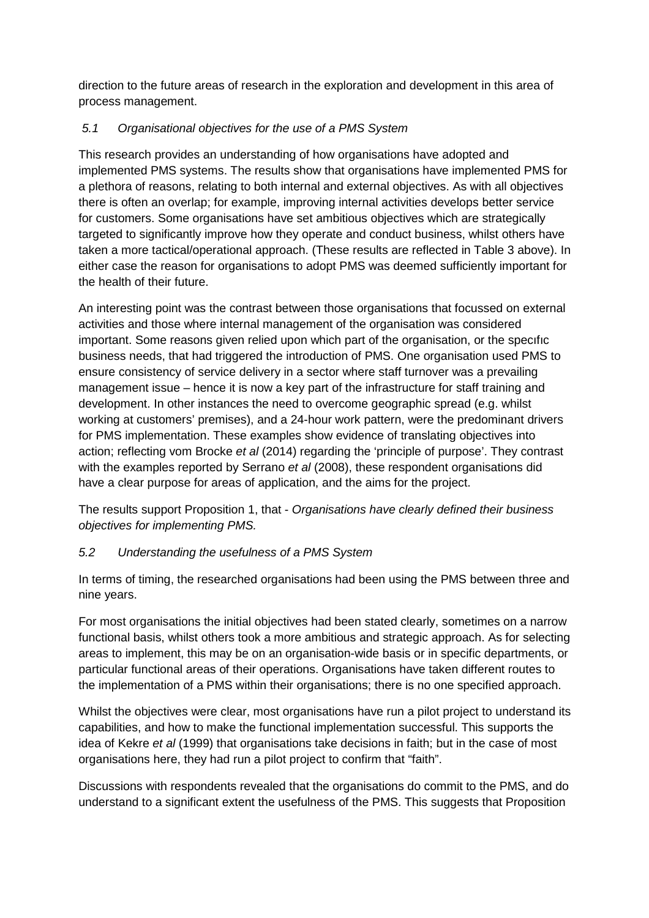direction to the future areas of research in the exploration and development in this area of process management.

# 5.1 Organisational objectives for the use of a PMS System

This research provides an understanding of how organisations have adopted and implemented PMS systems. The results show that organisations have implemented PMS for a plethora of reasons, relating to both internal and external objectives. As with all objectives there is often an overlap; for example, improving internal activities develops better service for customers. Some organisations have set ambitious objectives which are strategically targeted to significantly improve how they operate and conduct business, whilst others have taken a more tactical/operational approach. (These results are reflected in Table 3 above). In either case the reason for organisations to adopt PMS was deemed sufficiently important for the health of their future.

An interesting point was the contrast between those organisations that focussed on external activities and those where internal management of the organisation was considered important. Some reasons given relied upon which part of the organisation, or the specıfıc business needs, that had triggered the introduction of PMS. One organisation used PMS to ensure consistency of service delivery in a sector where staff turnover was a prevailing management issue – hence it is now a key part of the infrastructure for staff training and development. In other instances the need to overcome geographic spread (e.g. whilst working at customers' premises), and a 24-hour work pattern, were the predominant drivers for PMS implementation. These examples show evidence of translating objectives into action; reflecting vom Brocke et al (2014) regarding the 'principle of purpose'. They contrast with the examples reported by Serrano et al (2008), these respondent organisations did have a clear purpose for areas of application, and the aims for the project.

The results support Proposition 1, that - Organisations have clearly defined their business objectives for implementing PMS.

## 5.2 Understanding the usefulness of a PMS System

In terms of timing, the researched organisations had been using the PMS between three and nine years.

For most organisations the initial objectives had been stated clearly, sometimes on a narrow functional basis, whilst others took a more ambitious and strategic approach. As for selecting areas to implement, this may be on an organisation-wide basis or in specific departments, or particular functional areas of their operations. Organisations have taken different routes to the implementation of a PMS within their organisations; there is no one specified approach.

Whilst the objectives were clear, most organisations have run a pilot project to understand its capabilities, and how to make the functional implementation successful. This supports the idea of Kekre et al (1999) that organisations take decisions in faith; but in the case of most organisations here, they had run a pilot project to confirm that "faith".

Discussions with respondents revealed that the organisations do commit to the PMS, and do understand to a significant extent the usefulness of the PMS. This suggests that Proposition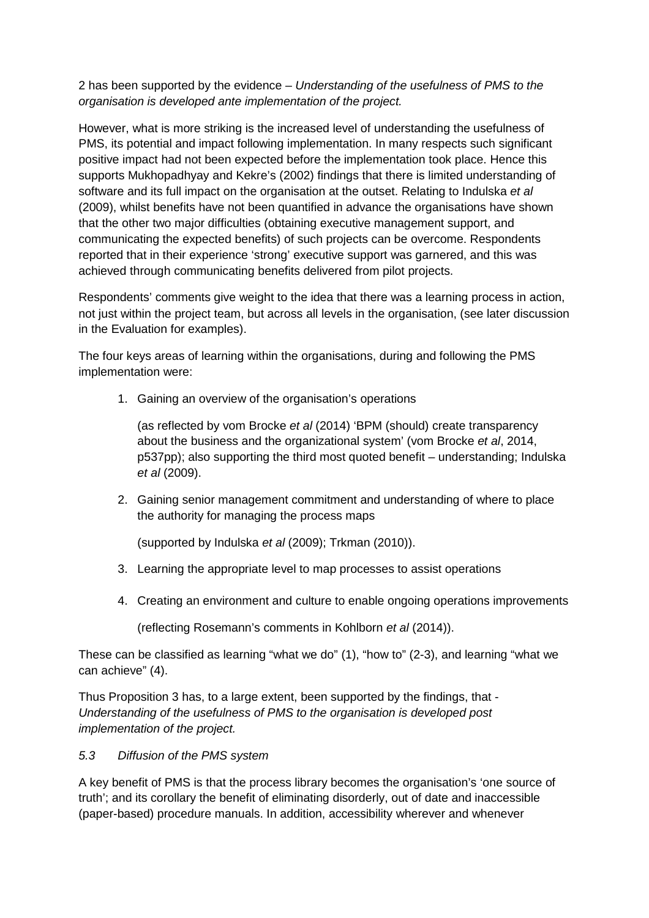2 has been supported by the evidence – Understanding of the usefulness of PMS to the organisation is developed ante implementation of the project.

However, what is more striking is the increased level of understanding the usefulness of PMS, its potential and impact following implementation. In many respects such significant positive impact had not been expected before the implementation took place. Hence this supports Mukhopadhyay and Kekre's (2002) findings that there is limited understanding of software and its full impact on the organisation at the outset. Relating to Indulska et al (2009), whilst benefits have not been quantified in advance the organisations have shown that the other two major difficulties (obtaining executive management support, and communicating the expected benefits) of such projects can be overcome. Respondents reported that in their experience 'strong' executive support was garnered, and this was achieved through communicating benefits delivered from pilot projects.

Respondents' comments give weight to the idea that there was a learning process in action, not just within the project team, but across all levels in the organisation, (see later discussion in the Evaluation for examples).

The four keys areas of learning within the organisations, during and following the PMS implementation were:

1. Gaining an overview of the organisation's operations

(as reflected by vom Brocke et al (2014) 'BPM (should) create transparency about the business and the organizational system' (vom Brocke et al, 2014, p537pp); also supporting the third most quoted benefit – understanding; Indulska et al (2009).

2. Gaining senior management commitment and understanding of where to place the authority for managing the process maps

(supported by Indulska et al (2009); Trkman (2010)).

- 3. Learning the appropriate level to map processes to assist operations
- 4. Creating an environment and culture to enable ongoing operations improvements

(reflecting Rosemann's comments in Kohlborn et al (2014)).

These can be classified as learning "what we do" (1), "how to" (2-3), and learning "what we can achieve" (4).

Thus Proposition 3 has, to a large extent, been supported by the findings, that - Understanding of the usefulness of PMS to the organisation is developed post implementation of the project.

## 5.3 Diffusion of the PMS system

A key benefit of PMS is that the process library becomes the organisation's 'one source of truth'; and its corollary the benefit of eliminating disorderly, out of date and inaccessible (paper-based) procedure manuals. In addition, accessibility wherever and whenever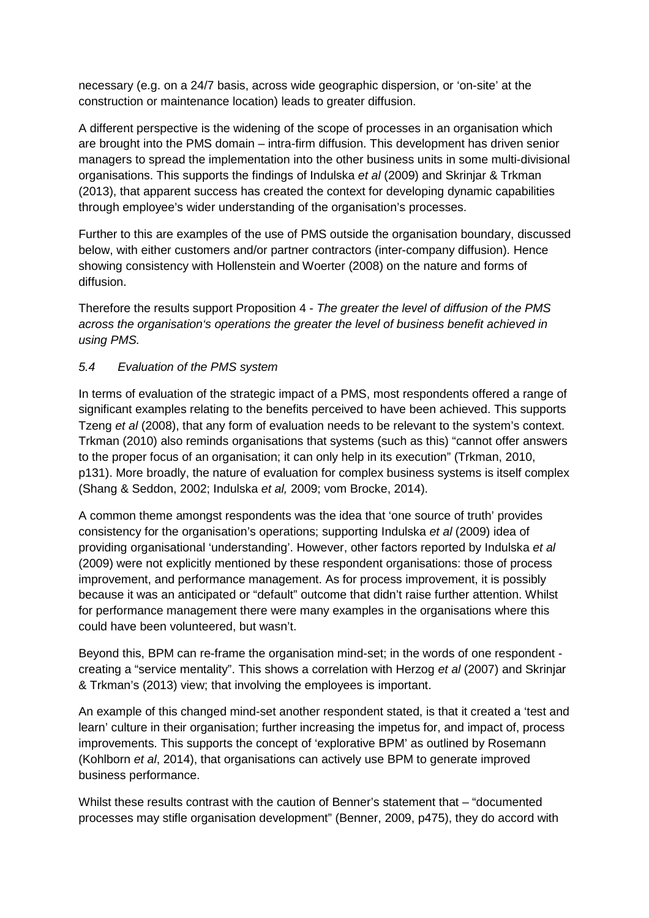necessary (e.g. on a 24/7 basis, across wide geographic dispersion, or 'on-site' at the construction or maintenance location) leads to greater diffusion.

A different perspective is the widening of the scope of processes in an organisation which are brought into the PMS domain – intra-firm diffusion. This development has driven senior managers to spread the implementation into the other business units in some multi-divisional organisations. This supports the findings of Indulska et al (2009) and Skrinjar & Trkman (2013), that apparent success has created the context for developing dynamic capabilities through employee's wider understanding of the organisation's processes.

Further to this are examples of the use of PMS outside the organisation boundary, discussed below, with either customers and/or partner contractors (inter-company diffusion). Hence showing consistency with Hollenstein and Woerter (2008) on the nature and forms of diffusion.

Therefore the results support Proposition 4 - The greater the level of diffusion of the PMS across the organisation's operations the greater the level of business benefit achieved in using PMS.

## 5.4 Evaluation of the PMS system

In terms of evaluation of the strategic impact of a PMS, most respondents offered a range of significant examples relating to the benefits perceived to have been achieved. This supports Tzeng et al (2008), that any form of evaluation needs to be relevant to the system's context. Trkman (2010) also reminds organisations that systems (such as this) "cannot offer answers to the proper focus of an organisation; it can only help in its execution" (Trkman, 2010, p131). More broadly, the nature of evaluation for complex business systems is itself complex (Shang & Seddon, 2002; Indulska et al, 2009; vom Brocke, 2014).

A common theme amongst respondents was the idea that 'one source of truth' provides consistency for the organisation's operations; supporting Indulska et al (2009) idea of providing organisational 'understanding'. However, other factors reported by Indulska et al (2009) were not explicitly mentioned by these respondent organisations: those of process improvement, and performance management. As for process improvement, it is possibly because it was an anticipated or "default" outcome that didn't raise further attention. Whilst for performance management there were many examples in the organisations where this could have been volunteered, but wasn't.

Beyond this, BPM can re-frame the organisation mind-set; in the words of one respondent creating a "service mentality". This shows a correlation with Herzog et al (2007) and Skrinjar & Trkman's (2013) view; that involving the employees is important.

An example of this changed mind-set another respondent stated, is that it created a 'test and learn' culture in their organisation; further increasing the impetus for, and impact of, process improvements. This supports the concept of 'explorative BPM' as outlined by Rosemann (Kohlborn et al, 2014), that organisations can actively use BPM to generate improved business performance.

Whilst these results contrast with the caution of Benner's statement that – "documented processes may stifle organisation development" (Benner, 2009, p475), they do accord with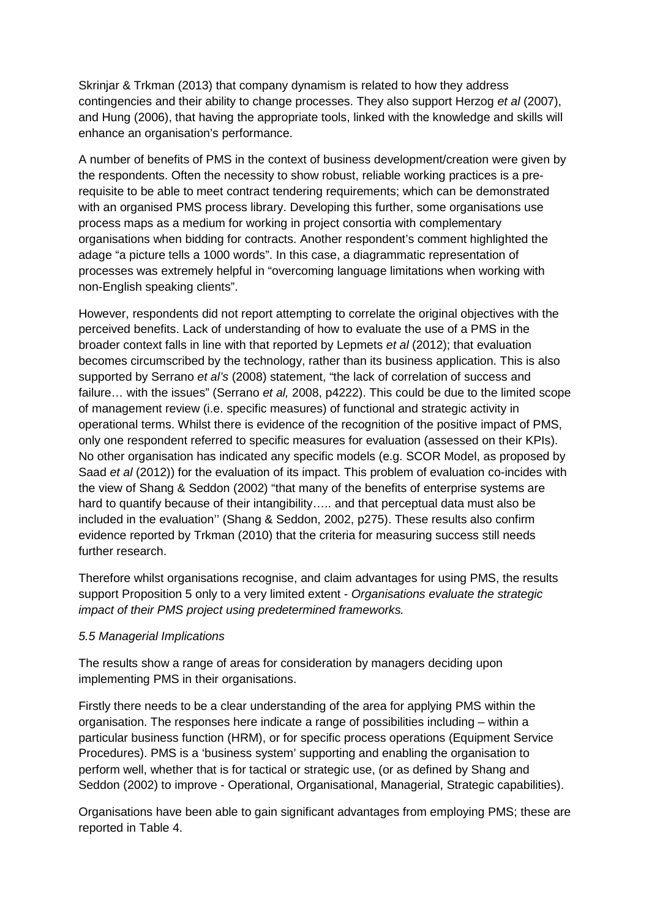Skrinjar & Trkman (2013) that company dynamism is related to how they address contingencies and their ability to change processes. They also support Herzog et al (2007), and Hung (2006), that having the appropriate tools, linked with the knowledge and skills will enhance an organisation's performance.

A number of benefits of PMS in the context of business development/creation were given by the respondents. Often the necessity to show robust, reliable working practices is a prerequisite to be able to meet contract tendering requirements; which can be demonstrated with an organised PMS process library. Developing this further, some organisations use process maps as a medium for working in project consortia with complementary organisations when bidding for contracts. Another respondent's comment highlighted the adage "a picture tells a 1000 words". In this case, a diagrammatic representation of processes was extremely helpful in "overcoming language limitations when working with non-English speaking clients".

However, respondents did not report attempting to correlate the original objectives with the perceived benefits. Lack of understanding of how to evaluate the use of a PMS in the broader context falls in line with that reported by Lepmets et al (2012); that evaluation becomes circumscribed by the technology, rather than its business application. This is also supported by Serrano et al's (2008) statement, "the lack of correlation of success and failure... with the issues" (Serrano et al, 2008, p4222). This could be due to the limited scope of management review (i.e. specific measures) of functional and strategic activity in operational terms. Whilst there is evidence of the recognition of the positive impact of PMS, only one respondent referred to specific measures for evaluation (assessed on their KPIs). No other organisation has indicated any specific models (e.g. SCOR Model, as proposed by Saad et al (2012)) for the evaluation of its impact. This problem of evaluation co-incides with the view of Shang & Seddon (2002) "that many of the benefits of enterprise systems are hard to quantify because of their intangibility….. and that perceptual data must also be included in the evaluation'' (Shang & Seddon, 2002, p275). These results also confirm evidence reported by Trkman (2010) that the criteria for measuring success still needs further research.

Therefore whilst organisations recognise, and claim advantages for using PMS, the results support Proposition 5 only to a very limited extent - Organisations evaluate the strategic impact of their PMS project using predetermined frameworks.

#### 5.5 Managerial Implications

The results show a range of areas for consideration by managers deciding upon implementing PMS in their organisations.

Firstly there needs to be a clear understanding of the area for applying PMS within the organisation. The responses here indicate a range of possibilities including – within a particular business function (HRM), or for specific process operations (Equipment Service Procedures). PMS is a 'business system' supporting and enabling the organisation to perform well, whether that is for tactical or strategic use, (or as defined by Shang and Seddon (2002) to improve - Operational, Organisational, Managerial, Strategic capabilities).

Organisations have been able to gain significant advantages from employing PMS; these are reported in Table 4.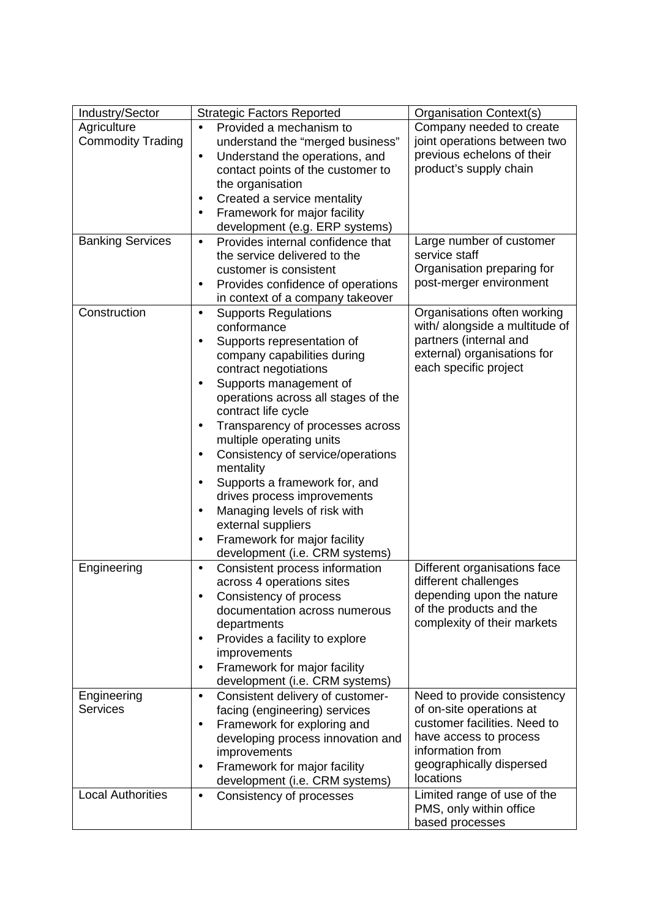| Industry/Sector                         | <b>Strategic Factors Reported</b>                                                  | Organisation Context(s)                                  |
|-----------------------------------------|------------------------------------------------------------------------------------|----------------------------------------------------------|
| Agriculture<br><b>Commodity Trading</b> | Provided a mechanism to                                                            | Company needed to create<br>joint operations between two |
|                                         | understand the "merged business"<br>Understand the operations, and<br>$\bullet$    | previous echelons of their                               |
|                                         | contact points of the customer to                                                  | product's supply chain                                   |
|                                         | the organisation                                                                   |                                                          |
|                                         | Created a service mentality<br>$\bullet$                                           |                                                          |
|                                         | Framework for major facility<br>$\bullet$                                          |                                                          |
|                                         | development (e.g. ERP systems)                                                     |                                                          |
| <b>Banking Services</b>                 | Provides internal confidence that<br>$\bullet$                                     | Large number of customer                                 |
|                                         | the service delivered to the                                                       | service staff                                            |
|                                         | customer is consistent                                                             | Organisation preparing for<br>post-merger environment    |
|                                         | Provides confidence of operations<br>$\bullet$<br>in context of a company takeover |                                                          |
| Construction                            | <b>Supports Regulations</b><br>$\bullet$                                           | Organisations often working                              |
|                                         | conformance                                                                        | with/ alongside a multitude of                           |
|                                         | Supports representation of<br>$\bullet$                                            | partners (internal and                                   |
|                                         | company capabilities during                                                        | external) organisations for                              |
|                                         | contract negotiations                                                              | each specific project                                    |
|                                         | Supports management of                                                             |                                                          |
|                                         | operations across all stages of the                                                |                                                          |
|                                         | contract life cycle<br>Transparency of processes across                            |                                                          |
|                                         | multiple operating units                                                           |                                                          |
|                                         | Consistency of service/operations<br>$\bullet$                                     |                                                          |
|                                         | mentality                                                                          |                                                          |
|                                         | Supports a framework for, and                                                      |                                                          |
|                                         | drives process improvements                                                        |                                                          |
|                                         | Managing levels of risk with<br>$\bullet$                                          |                                                          |
|                                         | external suppliers                                                                 |                                                          |
|                                         | Framework for major facility<br>$\bullet$                                          |                                                          |
| Engineering                             | development (i.e. CRM systems)<br>Consistent process information<br>$\bullet$      | Different organisations face                             |
|                                         | across 4 operations sites                                                          | different challenges                                     |
|                                         | Consistency of process                                                             | depending upon the nature                                |
|                                         | documentation across numerous                                                      | of the products and the                                  |
|                                         | departments                                                                        | complexity of their markets                              |
|                                         | Provides a facility to explore<br>٠                                                |                                                          |
|                                         | improvements                                                                       |                                                          |
|                                         | Framework for major facility<br>$\bullet$                                          |                                                          |
| Engineering                             | development (i.e. CRM systems)<br>Consistent delivery of customer-<br>$\bullet$    | Need to provide consistency                              |
| <b>Services</b>                         | facing (engineering) services                                                      | of on-site operations at                                 |
|                                         | Framework for exploring and<br>$\bullet$                                           | customer facilities. Need to                             |
|                                         | developing process innovation and                                                  | have access to process                                   |
|                                         | improvements                                                                       | information from                                         |
|                                         | Framework for major facility<br>$\bullet$                                          | geographically dispersed                                 |
|                                         | development (i.e. CRM systems)                                                     | locations                                                |
| <b>Local Authorities</b>                | Consistency of processes<br>$\bullet$                                              | Limited range of use of the                              |
|                                         |                                                                                    | PMS, only within office<br>based processes               |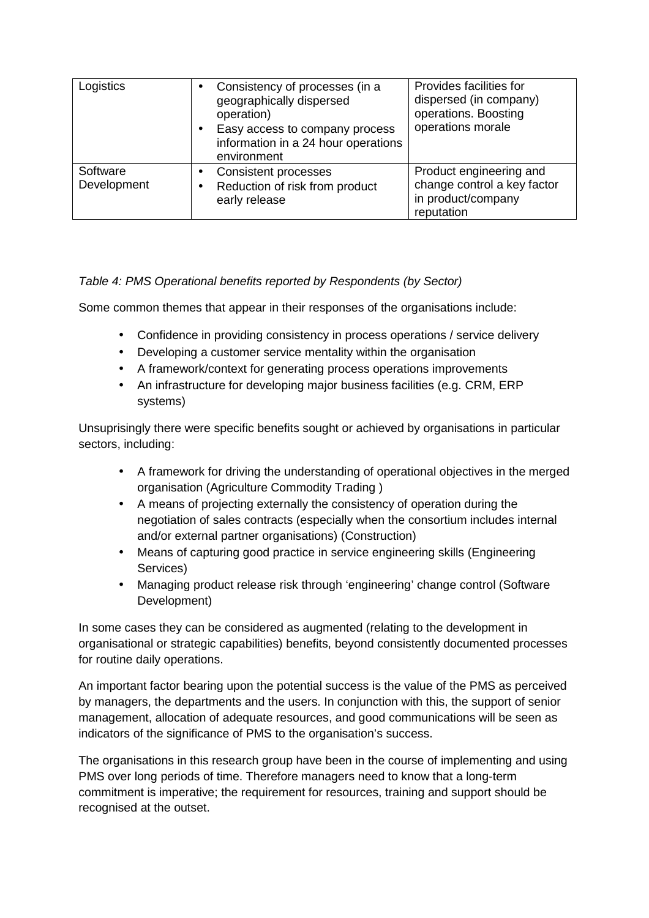| Logistics               | Consistency of processes (in a<br>geographically dispersed<br>operation)<br>Easy access to company process<br>information in a 24 hour operations<br>environment | Provides facilities for<br>dispersed (in company)<br>operations. Boosting<br>operations morale |
|-------------------------|------------------------------------------------------------------------------------------------------------------------------------------------------------------|------------------------------------------------------------------------------------------------|
| Software<br>Development | <b>Consistent processes</b><br>Reduction of risk from product<br>early release                                                                                   | Product engineering and<br>change control a key factor<br>in product/company<br>reputation     |

# Table 4: PMS Operational benefits reported by Respondents (by Sector)

Some common themes that appear in their responses of the organisations include:

- Confidence in providing consistency in process operations / service delivery
- Developing a customer service mentality within the organisation
- A framework/context for generating process operations improvements
- An infrastructure for developing major business facilities (e.g. CRM, ERP systems)

Unsuprisingly there were specific benefits sought or achieved by organisations in particular sectors, including:

- A framework for driving the understanding of operational objectives in the merged organisation (Agriculture Commodity Trading )
- A means of projecting externally the consistency of operation during the negotiation of sales contracts (especially when the consortium includes internal and/or external partner organisations) (Construction)
- Means of capturing good practice in service engineering skills (Engineering Services)
- Managing product release risk through 'engineering' change control (Software Development)

In some cases they can be considered as augmented (relating to the development in organisational or strategic capabilities) benefits, beyond consistently documented processes for routine daily operations.

An important factor bearing upon the potential success is the value of the PMS as perceived by managers, the departments and the users. In conjunction with this, the support of senior management, allocation of adequate resources, and good communications will be seen as indicators of the significance of PMS to the organisation's success.

The organisations in this research group have been in the course of implementing and using PMS over long periods of time. Therefore managers need to know that a long-term commitment is imperative; the requirement for resources, training and support should be recognised at the outset.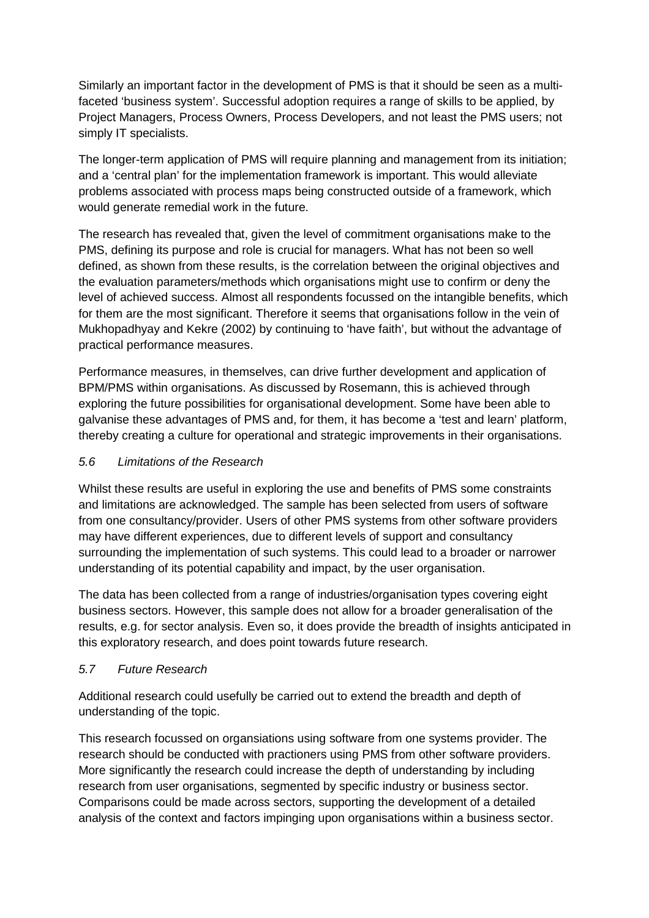Similarly an important factor in the development of PMS is that it should be seen as a multifaceted 'business system'. Successful adoption requires a range of skills to be applied, by Project Managers, Process Owners, Process Developers, and not least the PMS users; not simply IT specialists.

The longer-term application of PMS will require planning and management from its initiation; and a 'central plan' for the implementation framework is important. This would alleviate problems associated with process maps being constructed outside of a framework, which would generate remedial work in the future.

The research has revealed that, given the level of commitment organisations make to the PMS, defining its purpose and role is crucial for managers. What has not been so well defined, as shown from these results, is the correlation between the original objectives and the evaluation parameters/methods which organisations might use to confirm or deny the level of achieved success. Almost all respondents focussed on the intangible benefits, which for them are the most significant. Therefore it seems that organisations follow in the vein of Mukhopadhyay and Kekre (2002) by continuing to 'have faith', but without the advantage of practical performance measures.

Performance measures, in themselves, can drive further development and application of BPM/PMS within organisations. As discussed by Rosemann, this is achieved through exploring the future possibilities for organisational development. Some have been able to galvanise these advantages of PMS and, for them, it has become a 'test and learn' platform, thereby creating a culture for operational and strategic improvements in their organisations.

## 5.6 Limitations of the Research

Whilst these results are useful in exploring the use and benefits of PMS some constraints and limitations are acknowledged. The sample has been selected from users of software from one consultancy/provider. Users of other PMS systems from other software providers may have different experiences, due to different levels of support and consultancy surrounding the implementation of such systems. This could lead to a broader or narrower understanding of its potential capability and impact, by the user organisation.

The data has been collected from a range of industries/organisation types covering eight business sectors. However, this sample does not allow for a broader generalisation of the results, e.g. for sector analysis. Even so, it does provide the breadth of insights anticipated in this exploratory research, and does point towards future research.

## 5.7 Future Research

Additional research could usefully be carried out to extend the breadth and depth of understanding of the topic.

This research focussed on organsiations using software from one systems provider. The research should be conducted with practioners using PMS from other software providers. More significantly the research could increase the depth of understanding by including research from user organisations, segmented by specific industry or business sector. Comparisons could be made across sectors, supporting the development of a detailed analysis of the context and factors impinging upon organisations within a business sector.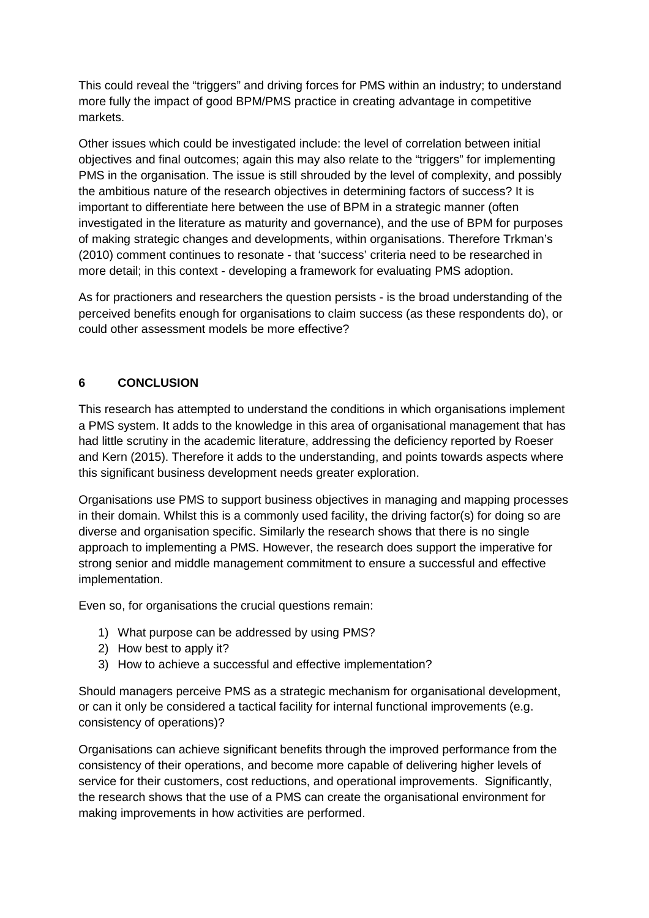This could reveal the "triggers" and driving forces for PMS within an industry; to understand more fully the impact of good BPM/PMS practice in creating advantage in competitive markets.

Other issues which could be investigated include: the level of correlation between initial objectives and final outcomes; again this may also relate to the "triggers" for implementing PMS in the organisation. The issue is still shrouded by the level of complexity, and possibly the ambitious nature of the research objectives in determining factors of success? It is important to differentiate here between the use of BPM in a strategic manner (often investigated in the literature as maturity and governance), and the use of BPM for purposes of making strategic changes and developments, within organisations. Therefore Trkman's (2010) comment continues to resonate - that 'success' criteria need to be researched in more detail; in this context - developing a framework for evaluating PMS adoption.

As for practioners and researchers the question persists - is the broad understanding of the perceived benefits enough for organisations to claim success (as these respondents do), or could other assessment models be more effective?

# **6 CONCLUSION**

This research has attempted to understand the conditions in which organisations implement a PMS system. It adds to the knowledge in this area of organisational management that has had little scrutiny in the academic literature, addressing the deficiency reported by Roeser and Kern (2015). Therefore it adds to the understanding, and points towards aspects where this significant business development needs greater exploration.

Organisations use PMS to support business objectives in managing and mapping processes in their domain. Whilst this is a commonly used facility, the driving factor(s) for doing so are diverse and organisation specific. Similarly the research shows that there is no single approach to implementing a PMS. However, the research does support the imperative for strong senior and middle management commitment to ensure a successful and effective implementation.

Even so, for organisations the crucial questions remain:

- 1) What purpose can be addressed by using PMS?
- 2) How best to apply it?
- 3) How to achieve a successful and effective implementation?

Should managers perceive PMS as a strategic mechanism for organisational development, or can it only be considered a tactical facility for internal functional improvements (e.g. consistency of operations)?

Organisations can achieve significant benefits through the improved performance from the consistency of their operations, and become more capable of delivering higher levels of service for their customers, cost reductions, and operational improvements. Significantly, the research shows that the use of a PMS can create the organisational environment for making improvements in how activities are performed.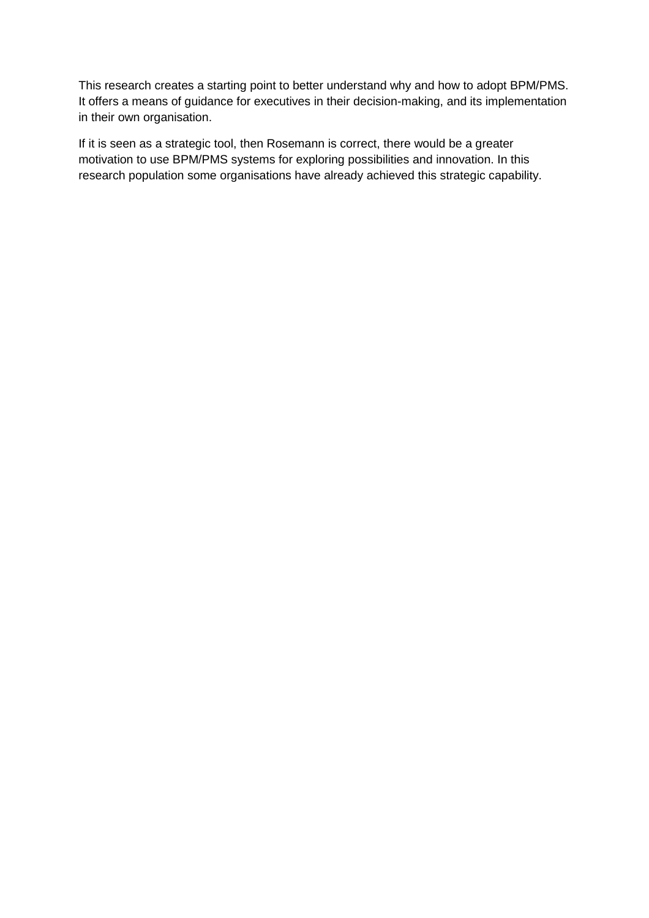This research creates a starting point to better understand why and how to adopt BPM/PMS. It offers a means of guidance for executives in their decision-making, and its implementation in their own organisation.

If it is seen as a strategic tool, then Rosemann is correct, there would be a greater motivation to use BPM/PMS systems for exploring possibilities and innovation. In this research population some organisations have already achieved this strategic capability.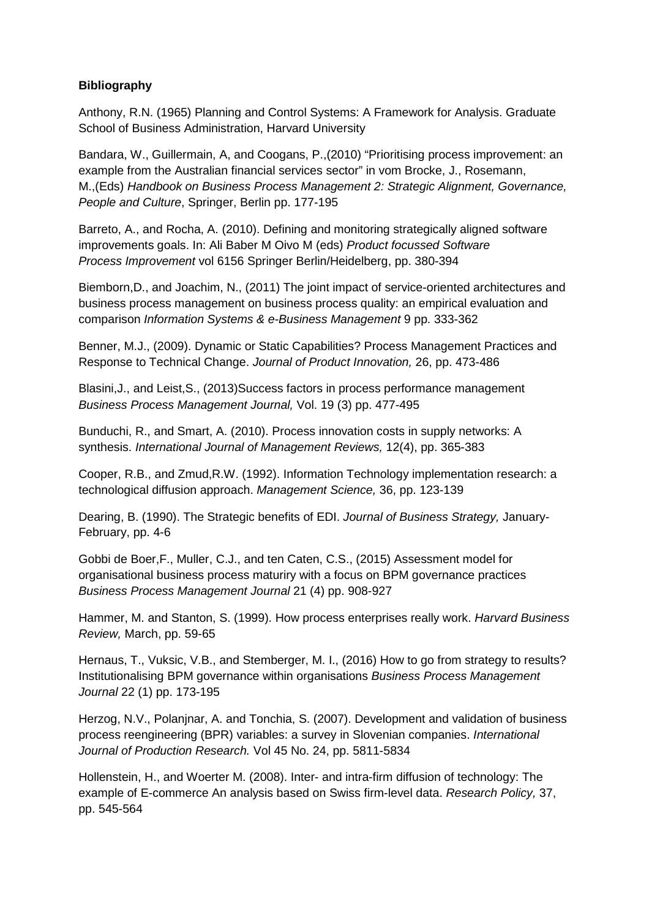## **Bibliography**

Anthony, R.N. (1965) Planning and Control Systems: A Framework for Analysis. Graduate School of Business Administration, Harvard University

Bandara, W., Guillermain, A, and Coogans, P.,(2010) "Prioritising process improvement: an example from the Australian financial services sector" in vom Brocke, J., Rosemann, M.,(Eds) Handbook on Business Process Management 2: Strategic Alignment, Governance, People and Culture, Springer, Berlin pp. 177-195

Barreto, A., and Rocha, A. (2010). Defining and monitoring strategically aligned software improvements goals. In: Ali Baber M Oivo M (eds) Product focussed Software Process Improvement vol 6156 Springer Berlin/Heidelberg, pp. 380-394

Biemborn,D., and Joachim, N., (2011) The joint impact of service-oriented architectures and business process management on business process quality: an empirical evaluation and comparison Information Systems & e-Business Management 9 pp. 333-362

Benner, M.J., (2009). Dynamic or Static Capabilities? Process Management Practices and Response to Technical Change. Journal of Product Innovation, 26, pp. 473-486

Blasini,J., and Leist,S., (2013)Success factors in process performance management Business Process Management Journal, Vol. 19 (3) pp. 477-495

Bunduchi, R., and Smart, A. (2010). Process innovation costs in supply networks: A synthesis. International Journal of Management Reviews, 12(4), pp. 365-383

Cooper, R.B., and Zmud,R.W. (1992). Information Technology implementation research: a technological diffusion approach. Management Science, 36, pp. 123-139

Dearing, B. (1990). The Strategic benefits of EDI. Journal of Business Strategy, January-February, pp. 4-6

Gobbi de Boer,F., Muller, C.J., and ten Caten, C.S., (2015) Assessment model for organisational business process maturiry with a focus on BPM governance practices Business Process Management Journal 21 (4) pp. 908-927

Hammer, M. and Stanton, S. (1999). How process enterprises really work. Harvard Business Review, March, pp. 59-65

Hernaus, T., Vuksic, V.B., and Stemberger, M. I., (2016) How to go from strategy to results? Institutionalising BPM governance within organisations Business Process Management Journal 22 (1) pp. 173-195

Herzog, N.V., Polanjnar, A. and Tonchia, S. (2007). Development and validation of business process reengineering (BPR) variables: a survey in Slovenian companies. International Journal of Production Research. Vol 45 No. 24, pp. 5811-5834

Hollenstein, H., and Woerter M. (2008). Inter- and intra-firm diffusion of technology: The example of E-commerce An analysis based on Swiss firm-level data. Research Policy, 37, pp. 545-564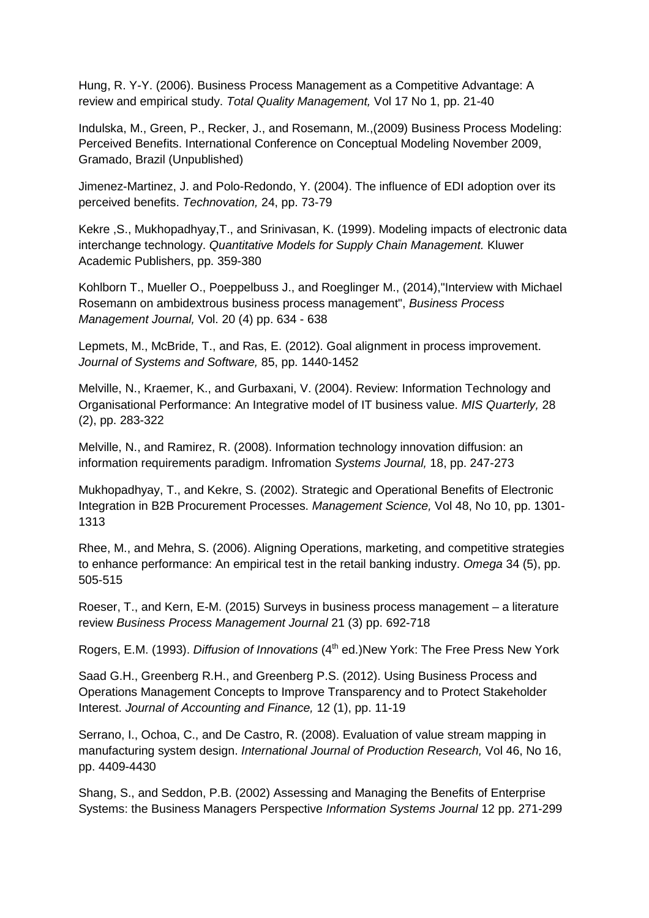Hung, R. Y-Y. (2006). Business Process Management as a Competitive Advantage: A review and empirical study. Total Quality Management, Vol 17 No 1, pp. 21-40

Indulska, M., Green, P., Recker, J., and Rosemann, M.,(2009) Business Process Modeling: Perceived Benefits. International Conference on Conceptual Modeling November 2009, Gramado, Brazil (Unpublished)

Jimenez-Martinez, J. and Polo-Redondo, Y. (2004). The influence of EDI adoption over its perceived benefits. Technovation, 24, pp. 73-79

Kekre ,S., Mukhopadhyay,T., and Srinivasan, K. (1999). Modeling impacts of electronic data interchange technology. Quantitative Models for Supply Chain Management. Kluwer Academic Publishers, pp. 359-380

Kohlborn T., Mueller O., Poeppelbuss J., and Roeglinger M., (2014),"Interview with Michael Rosemann on ambidextrous business process management", Business Process Management Journal, Vol. 20 (4) pp. 634 - 638

Lepmets, M., McBride, T., and Ras, E. (2012). Goal alignment in process improvement. Journal of Systems and Software, 85, pp. 1440-1452

Melville, N., Kraemer, K., and Gurbaxani, V. (2004). Review: Information Technology and Organisational Performance: An Integrative model of IT business value. MIS Quarterly, 28 (2), pp. 283-322

Melville, N., and Ramirez, R. (2008). Information technology innovation diffusion: an information requirements paradigm. Infromation Systems Journal, 18, pp. 247-273

Mukhopadhyay, T., and Kekre, S. (2002). Strategic and Operational Benefits of Electronic Integration in B2B Procurement Processes. Management Science, Vol 48, No 10, pp. 1301- 1313

Rhee, M., and Mehra, S. (2006). Aligning Operations, marketing, and competitive strategies to enhance performance: An empirical test in the retail banking industry. Omega 34 (5), pp. 505-515

Roeser, T., and Kern, E-M. (2015) Surveys in business process management – a literature review Business Process Management Journal 21 (3) pp. 692-718

Rogers, E.M. (1993). Diffusion of Innovations (4<sup>th</sup> ed.)New York: The Free Press New York

Saad G.H., Greenberg R.H., and Greenberg P.S. (2012). Using Business Process and Operations Management Concepts to Improve Transparency and to Protect Stakeholder Interest. Journal of Accounting and Finance, 12 (1), pp. 11-19

Serrano, I., Ochoa, C., and De Castro, R. (2008). Evaluation of value stream mapping in manufacturing system design. International Journal of Production Research, Vol 46, No 16, pp. 4409-4430

Shang, S., and Seddon, P.B. (2002) Assessing and Managing the Benefits of Enterprise Systems: the Business Managers Perspective Information Systems Journal 12 pp. 271-299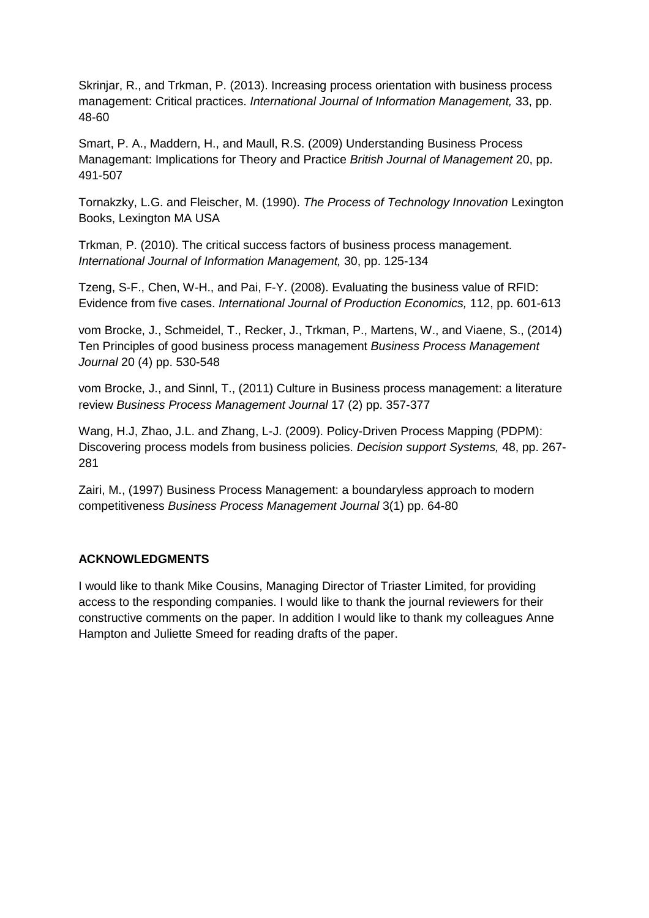Skrinjar, R., and Trkman, P. (2013). Increasing process orientation with business process management: Critical practices. International Journal of Information Management, 33, pp. 48-60

Smart, P. A., Maddern, H., and Maull, R.S. (2009) Understanding Business Process Managemant: Implications for Theory and Practice British Journal of Management 20, pp. 491-507

Tornakzky, L.G. and Fleischer, M. (1990). The Process of Technology Innovation Lexington Books, Lexington MA USA

Trkman, P. (2010). The critical success factors of business process management. International Journal of Information Management, 30, pp. 125-134

Tzeng, S-F., Chen, W-H., and Pai, F-Y. (2008). Evaluating the business value of RFID: Evidence from five cases. International Journal of Production Economics, 112, pp. 601-613

vom Brocke, J., Schmeidel, T., Recker, J., Trkman, P., Martens, W., and Viaene, S., (2014) Ten Principles of good business process management Business Process Management Journal 20 (4) pp. 530-548

vom Brocke, J., and Sinnl, T., (2011) Culture in Business process management: a literature review Business Process Management Journal 17 (2) pp. 357-377

Wang, H.J, Zhao, J.L. and Zhang, L-J. (2009). Policy-Driven Process Mapping (PDPM): Discovering process models from business policies. Decision support Systems, 48, pp. 267- 281

Zairi, M., (1997) Business Process Management: a boundaryless approach to modern competitiveness Business Process Management Journal 3(1) pp. 64-80

#### **ACKNOWLEDGMENTS**

I would like to thank Mike Cousins, Managing Director of Triaster Limited, for providing access to the responding companies. I would like to thank the journal reviewers for their constructive comments on the paper. In addition I would like to thank my colleagues Anne Hampton and Juliette Smeed for reading drafts of the paper.